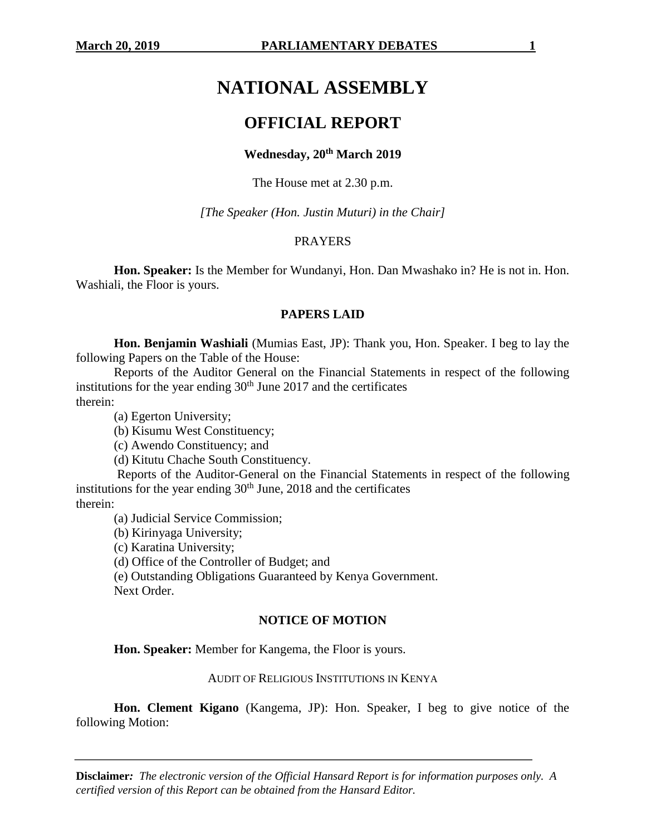# **NATIONAL ASSEMBLY**

## **OFFICIAL REPORT**

## **Wednesday, 20th March 2019**

The House met at 2.30 p.m.

*[The Speaker (Hon. Justin Muturi) in the Chair]*

### PRAYERS

**Hon. Speaker:** Is the Member for Wundanyi, Hon. Dan Mwashako in? He is not in. Hon. Washiali, the Floor is yours.

#### **PAPERS LAID**

**Hon. Benjamin Washiali** (Mumias East, JP): Thank you, Hon. Speaker. I beg to lay the following Papers on the Table of the House:

Reports of the Auditor General on the Financial Statements in respect of the following institutions for the year ending  $30<sup>th</sup>$  June 2017 and the certificates therein:

(a) Egerton University;

(b) Kisumu West Constituency;

(c) Awendo Constituency; and

(d) Kitutu Chache South Constituency.

Reports of the Auditor-General on the Financial Statements in respect of the following institutions for the year ending  $30<sup>th</sup>$  June, 2018 and the certificates

therein:

(a) Judicial Service Commission;

(b) Kirinyaga University;

(c) Karatina University;

(d) Office of the Controller of Budget; and

(e) Outstanding Obligations Guaranteed by Kenya Government. Next Order.

#### **NOTICE OF MOTION**

**Hon. Speaker:** Member for Kangema, the Floor is yours.

#### AUDIT OF RELIGIOUS INSTITUTIONS IN KENYA

**Hon. Clement Kigano** (Kangema, JP): Hon. Speaker, I beg to give notice of the following Motion: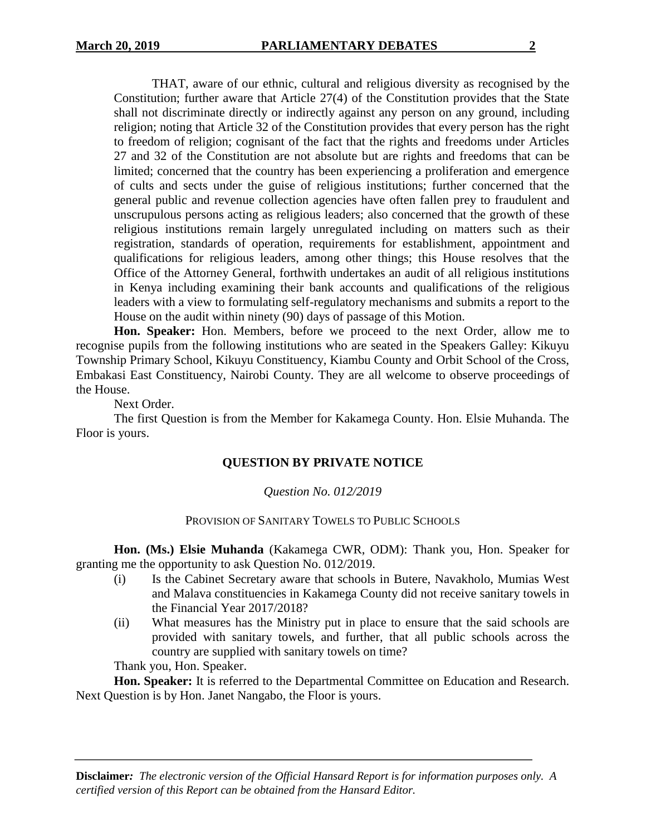THAT, aware of our ethnic, cultural and religious diversity as recognised by the Constitution; further aware that Article 27(4) of the Constitution provides that the State shall not discriminate directly or indirectly against any person on any ground, including religion; noting that Article 32 of the Constitution provides that every person has the right to freedom of religion; cognisant of the fact that the rights and freedoms under Articles 27 and 32 of the Constitution are not absolute but are rights and freedoms that can be limited; concerned that the country has been experiencing a proliferation and emergence of cults and sects under the guise of religious institutions; further concerned that the general public and revenue collection agencies have often fallen prey to fraudulent and unscrupulous persons acting as religious leaders; also concerned that the growth of these religious institutions remain largely unregulated including on matters such as their registration, standards of operation, requirements for establishment, appointment and qualifications for religious leaders, among other things; this House resolves that the Office of the Attorney General, forthwith undertakes an audit of all religious institutions in Kenya including examining their bank accounts and qualifications of the religious leaders with a view to formulating self-regulatory mechanisms and submits a report to the House on the audit within ninety (90) days of passage of this Motion.

**Hon. Speaker:** Hon. Members, before we proceed to the next Order, allow me to recognise pupils from the following institutions who are seated in the Speakers Galley: Kikuyu Township Primary School, Kikuyu Constituency, Kiambu County and Orbit School of the Cross, Embakasi East Constituency, Nairobi County. They are all welcome to observe proceedings of the House.

Next Order.

The first Question is from the Member for Kakamega County. Hon. Elsie Muhanda. The Floor is yours.

## **QUESTION BY PRIVATE NOTICE**

## *Question No. 012/2019*

#### PROVISION OF SANITARY TOWELS TO PUBLIC SCHOOLS

**Hon. (Ms.) Elsie Muhanda** (Kakamega CWR, ODM): Thank you, Hon. Speaker for granting me the opportunity to ask Question No. 012/2019.

- (i) Is the Cabinet Secretary aware that schools in Butere, Navakholo, Mumias West and Malava constituencies in Kakamega County did not receive sanitary towels in the Financial Year 2017/2018?
- (ii) What measures has the Ministry put in place to ensure that the said schools are provided with sanitary towels, and further, that all public schools across the country are supplied with sanitary towels on time?

Thank you, Hon. Speaker.

**Hon. Speaker:** It is referred to the Departmental Committee on Education and Research. Next Question is by Hon. Janet Nangabo, the Floor is yours.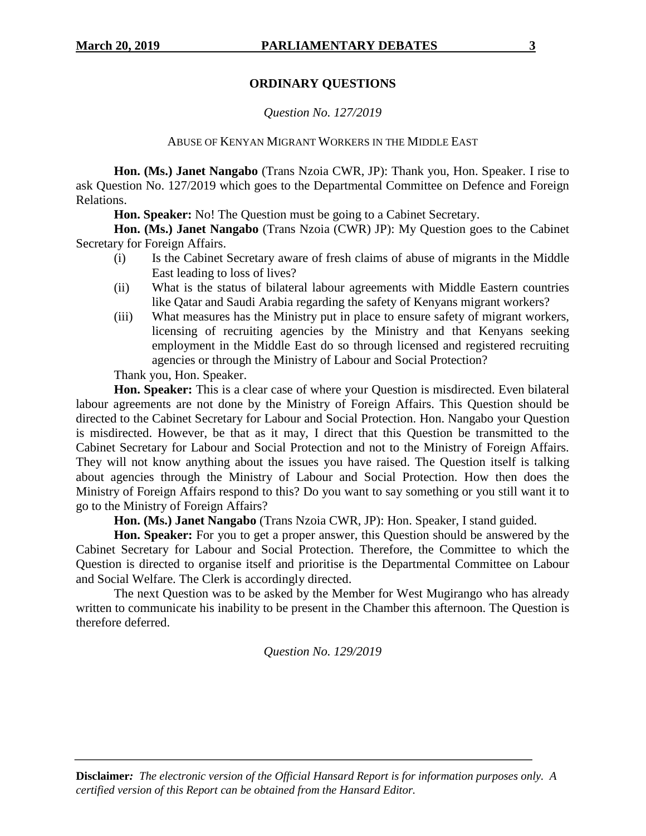## **ORDINARY QUESTIONS**

## *Question No. 127/2019*

### ABUSE OF KENYAN MIGRANT WORKERS IN THE MIDDLE EAST

**Hon. (Ms.) Janet Nangabo** (Trans Nzoia CWR, JP): Thank you, Hon. Speaker. I rise to ask Question No. 127/2019 which goes to the Departmental Committee on Defence and Foreign Relations.

**Hon. Speaker:** No! The Question must be going to a Cabinet Secretary.

**Hon. (Ms.) Janet Nangabo** (Trans Nzoia (CWR) JP): My Question goes to the Cabinet Secretary for Foreign Affairs.

- (i) Is the Cabinet Secretary aware of fresh claims of abuse of migrants in the Middle East leading to loss of lives?
- (ii) What is the status of bilateral labour agreements with Middle Eastern countries like Qatar and Saudi Arabia regarding the safety of Kenyans migrant workers?
- (iii) What measures has the Ministry put in place to ensure safety of migrant workers, licensing of recruiting agencies by the Ministry and that Kenyans seeking employment in the Middle East do so through licensed and registered recruiting agencies or through the Ministry of Labour and Social Protection?

Thank you, Hon. Speaker.

**Hon. Speaker:** This is a clear case of where your Question is misdirected. Even bilateral labour agreements are not done by the Ministry of Foreign Affairs. This Question should be directed to the Cabinet Secretary for Labour and Social Protection. Hon. Nangabo your Question is misdirected. However, be that as it may, I direct that this Question be transmitted to the Cabinet Secretary for Labour and Social Protection and not to the Ministry of Foreign Affairs. They will not know anything about the issues you have raised. The Question itself is talking about agencies through the Ministry of Labour and Social Protection. How then does the Ministry of Foreign Affairs respond to this? Do you want to say something or you still want it to go to the Ministry of Foreign Affairs?

**Hon. (Ms.) Janet Nangabo** (Trans Nzoia CWR, JP): Hon. Speaker, I stand guided.

**Hon. Speaker:** For you to get a proper answer, this Question should be answered by the Cabinet Secretary for Labour and Social Protection. Therefore, the Committee to which the Question is directed to organise itself and prioritise is the Departmental Committee on Labour and Social Welfare. The Clerk is accordingly directed.

The next Question was to be asked by the Member for West Mugirango who has already written to communicate his inability to be present in the Chamber this afternoon. The Question is therefore deferred.

*Question No. 129/2019*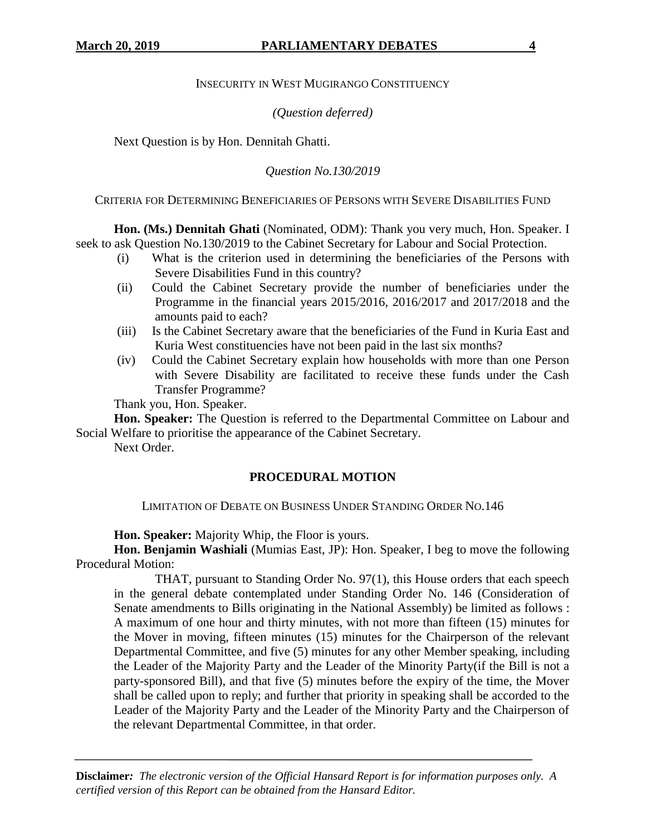## INSECURITY IN WEST MUGIRANGO CONSTITUENCY

## *(Question deferred)*

Next Question is by Hon. Dennitah Ghatti.

## *Question No.130/2019*

CRITERIA FOR DETERMINING BENEFICIARIES OF PERSONS WITH SEVERE DISABILITIES FUND

**Hon. (Ms.) Dennitah Ghati** (Nominated, ODM): Thank you very much, Hon. Speaker. I seek to ask Question No.130/2019 to the Cabinet Secretary for Labour and Social Protection.

- (i) What is the criterion used in determining the beneficiaries of the Persons with Severe Disabilities Fund in this country?
- (ii) Could the Cabinet Secretary provide the number of beneficiaries under the Programme in the financial years 2015/2016, 2016/2017 and 2017/2018 and the amounts paid to each?
- (iii) Is the Cabinet Secretary aware that the beneficiaries of the Fund in Kuria East and Kuria West constituencies have not been paid in the last six months?
- (iv) Could the Cabinet Secretary explain how households with more than one Person with Severe Disability are facilitated to receive these funds under the Cash Transfer Programme?

Thank you, Hon. Speaker.

**Hon. Speaker:** The Question is referred to the Departmental Committee on Labour and Social Welfare to prioritise the appearance of the Cabinet Secretary.

Next Order.

## **PROCEDURAL MOTION**

LIMITATION OF DEBATE ON BUSINESS UNDER STANDING ORDER NO.146

**Hon. Speaker:** Majority Whip, the Floor is yours.

**Hon. Benjamin Washiali** (Mumias East, JP): Hon. Speaker, I beg to move the following Procedural Motion:

THAT, pursuant to Standing Order No. 97(1), this House orders that each speech in the general debate contemplated under Standing Order No. 146 (Consideration of Senate amendments to Bills originating in the National Assembly) be limited as follows : A maximum of one hour and thirty minutes, with not more than fifteen (15) minutes for the Mover in moving, fifteen minutes (15) minutes for the Chairperson of the relevant Departmental Committee, and five (5) minutes for any other Member speaking, including the Leader of the Majority Party and the Leader of the Minority Party(if the Bill is not a party-sponsored Bill), and that five (5) minutes before the expiry of the time, the Mover shall be called upon to reply; and further that priority in speaking shall be accorded to the Leader of the Majority Party and the Leader of the Minority Party and the Chairperson of the relevant Departmental Committee, in that order.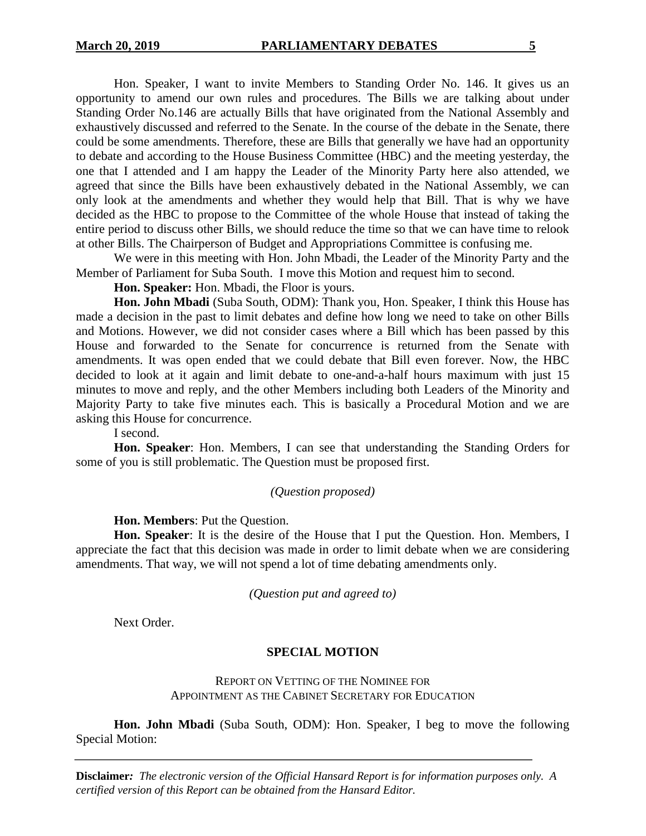Hon. Speaker, I want to invite Members to Standing Order No. 146. It gives us an opportunity to amend our own rules and procedures. The Bills we are talking about under Standing Order No.146 are actually Bills that have originated from the National Assembly and exhaustively discussed and referred to the Senate. In the course of the debate in the Senate, there could be some amendments. Therefore, these are Bills that generally we have had an opportunity to debate and according to the House Business Committee (HBC) and the meeting yesterday, the one that I attended and I am happy the Leader of the Minority Party here also attended, we agreed that since the Bills have been exhaustively debated in the National Assembly, we can only look at the amendments and whether they would help that Bill. That is why we have decided as the HBC to propose to the Committee of the whole House that instead of taking the entire period to discuss other Bills, we should reduce the time so that we can have time to relook at other Bills. The Chairperson of Budget and Appropriations Committee is confusing me.

We were in this meeting with Hon. John Mbadi, the Leader of the Minority Party and the Member of Parliament for Suba South. I move this Motion and request him to second.

**Hon. Speaker:** Hon. Mbadi, the Floor is yours.

**Hon. John Mbadi** (Suba South, ODM): Thank you, Hon. Speaker, I think this House has made a decision in the past to limit debates and define how long we need to take on other Bills and Motions. However, we did not consider cases where a Bill which has been passed by this House and forwarded to the Senate for concurrence is returned from the Senate with amendments. It was open ended that we could debate that Bill even forever. Now, the HBC decided to look at it again and limit debate to one-and-a-half hours maximum with just 15 minutes to move and reply, and the other Members including both Leaders of the Minority and Majority Party to take five minutes each. This is basically a Procedural Motion and we are asking this House for concurrence.

I second.

**Hon. Speaker**: Hon. Members, I can see that understanding the Standing Orders for some of you is still problematic. The Question must be proposed first.

#### *(Question proposed)*

**Hon. Members**: Put the Question.

**Hon. Speaker**: It is the desire of the House that I put the Question. Hon. Members, I appreciate the fact that this decision was made in order to limit debate when we are considering amendments. That way, we will not spend a lot of time debating amendments only.

*(Question put and agreed to)*

Next Order.

#### **SPECIAL MOTION**

REPORT ON VETTING OF THE NOMINEE FOR APPOINTMENT AS THE CABINET SECRETARY FOR EDUCATION

**Hon. John Mbadi** (Suba South, ODM): Hon. Speaker, I beg to move the following Special Motion: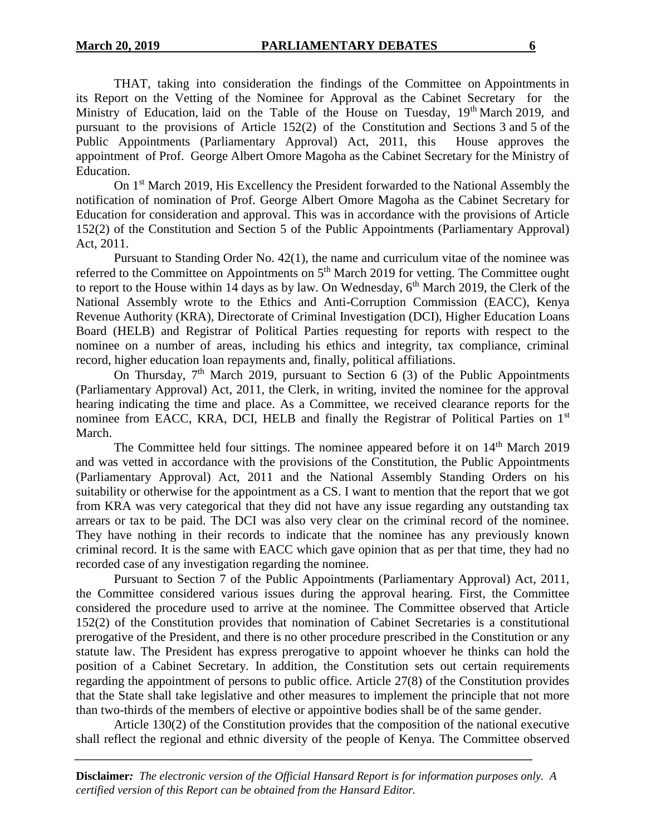THAT, taking into consideration the findings of the Committee on Appointments in its Report on the Vetting of the Nominee for Approval as the Cabinet Secretary for the Ministry of Education, laid on the Table of the House on Tuesday,  $19<sup>th</sup>$  March 2019, and pursuant to the provisions of Article 152(2) of the Constitution and Sections 3 and 5 of the Public Appointments (Parliamentary Approval) Act, 2011, this House approves the appointment of Prof. George Albert Omore Magoha as the Cabinet Secretary for the Ministry of Education.

On 1<sup>st</sup> March 2019, His Excellency the President forwarded to the National Assembly the notification of nomination of Prof. George Albert Omore Magoha as the Cabinet Secretary for Education for consideration and approval. This was in accordance with the provisions of Article 152(2) of the Constitution and Section 5 of the Public Appointments (Parliamentary Approval) Act, 2011.

Pursuant to Standing Order No. 42(1), the name and curriculum vitae of the nominee was referred to the Committee on Appointments on 5<sup>th</sup> March 2019 for vetting. The Committee ought to report to the House within 14 days as by law. On Wednesday,  $6<sup>th</sup>$  March 2019, the Clerk of the National Assembly wrote to the Ethics and Anti-Corruption Commission (EACC), Kenya Revenue Authority (KRA), Directorate of Criminal Investigation (DCI), Higher Education Loans Board (HELB) and Registrar of Political Parties requesting for reports with respect to the nominee on a number of areas, including his ethics and integrity, tax compliance, criminal record, higher education loan repayments and, finally, political affiliations.

On Thursday,  $7<sup>th</sup>$  March 2019, pursuant to Section 6 (3) of the Public Appointments (Parliamentary Approval) Act, 2011, the Clerk, in writing, invited the nominee for the approval hearing indicating the time and place. As a Committee, we received clearance reports for the nominee from EACC, KRA, DCI, HELB and finally the Registrar of Political Parties on 1<sup>st</sup> March.

The Committee held four sittings. The nominee appeared before it on 14<sup>th</sup> March 2019 and was vetted in accordance with the provisions of the Constitution, the Public Appointments (Parliamentary Approval) Act, 2011 and the National Assembly Standing Orders on his suitability or otherwise for the appointment as a CS. I want to mention that the report that we got from KRA was very categorical that they did not have any issue regarding any outstanding tax arrears or tax to be paid. The DCI was also very clear on the criminal record of the nominee. They have nothing in their records to indicate that the nominee has any previously known criminal record. It is the same with EACC which gave opinion that as per that time, they had no recorded case of any investigation regarding the nominee.

Pursuant to Section 7 of the Public Appointments (Parliamentary Approval) Act, 2011, the Committee considered various issues during the approval hearing. First, the Committee considered the procedure used to arrive at the nominee. The Committee observed that Article 152(2) of the Constitution provides that nomination of Cabinet Secretaries is a constitutional prerogative of the President, and there is no other procedure prescribed in the Constitution or any statute law. The President has express prerogative to appoint whoever he thinks can hold the position of a Cabinet Secretary. In addition, the Constitution sets out certain requirements regarding the appointment of persons to public office. Article 27(8) of the Constitution provides that the State shall take legislative and other measures to implement the principle that not more than two-thirds of the members of elective or appointive bodies shall be of the same gender.

Article 130(2) of the Constitution provides that the composition of the national executive shall reflect the regional and ethnic diversity of the people of Kenya. The Committee observed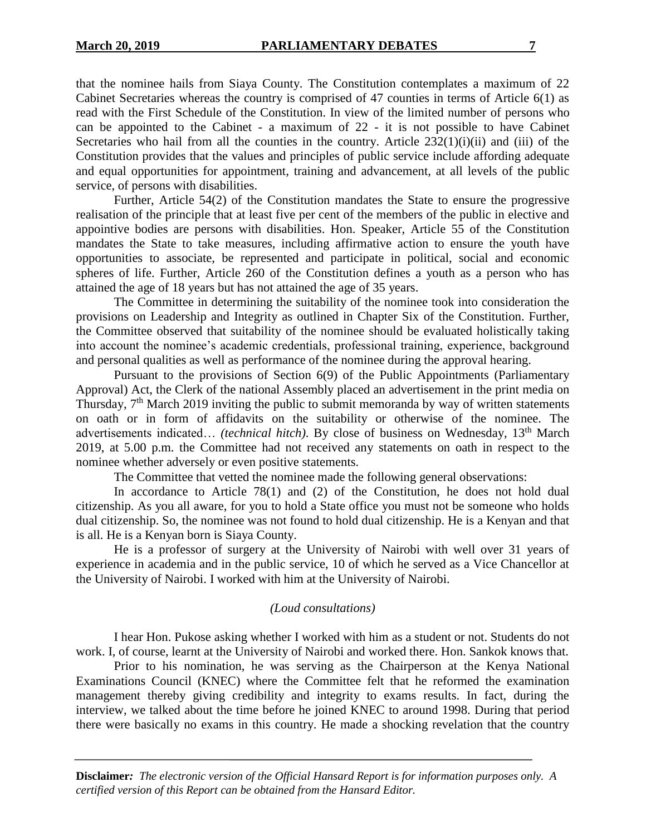that the nominee hails from Siaya County. The Constitution contemplates a maximum of 22 Cabinet Secretaries whereas the country is comprised of 47 counties in terms of Article 6(1) as read with the First Schedule of the Constitution. In view of the limited number of persons who can be appointed to the Cabinet - a maximum of 22 - it is not possible to have Cabinet Secretaries who hail from all the counties in the country. Article  $232(1)(i)(ii)$  and (iii) of the Constitution provides that the values and principles of public service include affording adequate and equal opportunities for appointment, training and advancement, at all levels of the public service, of persons with disabilities.

Further, Article 54(2) of the Constitution mandates the State to ensure the progressive realisation of the principle that at least five per cent of the members of the public in elective and appointive bodies are persons with disabilities. Hon. Speaker, Article 55 of the Constitution mandates the State to take measures, including affirmative action to ensure the youth have opportunities to associate, be represented and participate in political, social and economic spheres of life. Further, Article 260 of the Constitution defines a youth as a person who has attained the age of 18 years but has not attained the age of 35 years.

The Committee in determining the suitability of the nominee took into consideration the provisions on Leadership and Integrity as outlined in Chapter Six of the Constitution. Further, the Committee observed that suitability of the nominee should be evaluated holistically taking into account the nominee's academic credentials, professional training, experience, background and personal qualities as well as performance of the nominee during the approval hearing.

Pursuant to the provisions of Section 6(9) of the Public Appointments (Parliamentary Approval) Act, the Clerk of the national Assembly placed an advertisement in the print media on Thursday,  $7<sup>th</sup>$  March 2019 inviting the public to submit memoranda by way of written statements on oath or in form of affidavits on the suitability or otherwise of the nominee. The advertisements indicated… *(technical hitch)*. By close of business on Wednesday, 13<sup>th</sup> March 2019, at 5.00 p.m. the Committee had not received any statements on oath in respect to the nominee whether adversely or even positive statements.

The Committee that vetted the nominee made the following general observations:

In accordance to Article 78(1) and (2) of the Constitution, he does not hold dual citizenship. As you all aware, for you to hold a State office you must not be someone who holds dual citizenship. So, the nominee was not found to hold dual citizenship. He is a Kenyan and that is all. He is a Kenyan born is Siaya County.

He is a professor of surgery at the University of Nairobi with well over 31 years of experience in academia and in the public service, 10 of which he served as a Vice Chancellor at the University of Nairobi. I worked with him at the University of Nairobi.

## *(Loud consultations)*

I hear Hon. Pukose asking whether I worked with him as a student or not. Students do not work. I, of course, learnt at the University of Nairobi and worked there. Hon. Sankok knows that.

Prior to his nomination, he was serving as the Chairperson at the Kenya National Examinations Council (KNEC) where the Committee felt that he reformed the examination management thereby giving credibility and integrity to exams results. In fact, during the interview, we talked about the time before he joined KNEC to around 1998. During that period there were basically no exams in this country. He made a shocking revelation that the country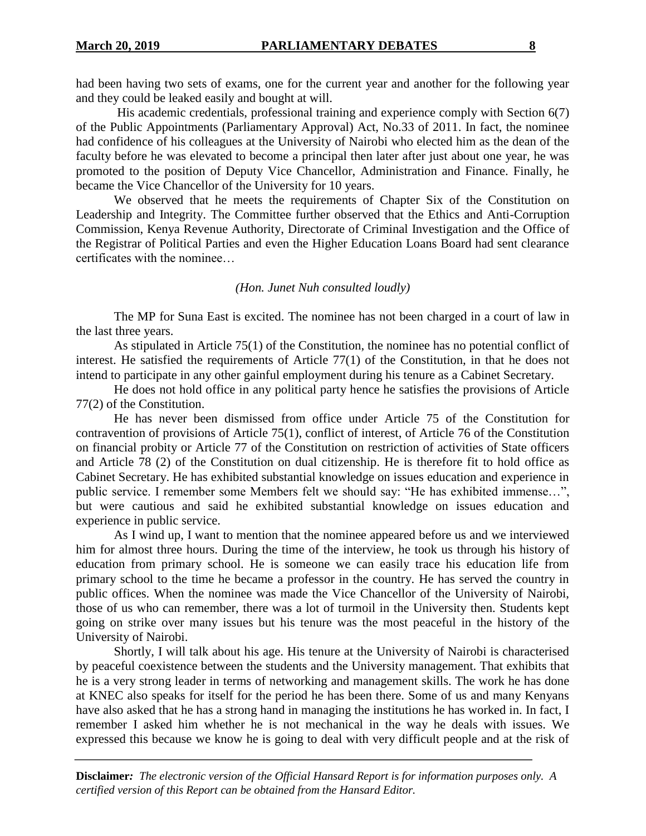had been having two sets of exams, one for the current year and another for the following year and they could be leaked easily and bought at will.

His academic credentials, professional training and experience comply with Section 6(7) of the Public Appointments (Parliamentary Approval) Act, No.33 of 2011. In fact, the nominee had confidence of his colleagues at the University of Nairobi who elected him as the dean of the faculty before he was elevated to become a principal then later after just about one year, he was promoted to the position of Deputy Vice Chancellor, Administration and Finance. Finally, he became the Vice Chancellor of the University for 10 years.

We observed that he meets the requirements of Chapter Six of the Constitution on Leadership and Integrity. The Committee further observed that the Ethics and Anti-Corruption Commission, Kenya Revenue Authority, Directorate of Criminal Investigation and the Office of the Registrar of Political Parties and even the Higher Education Loans Board had sent clearance certificates with the nominee…

### *(Hon. Junet Nuh consulted loudly)*

The MP for Suna East is excited. The nominee has not been charged in a court of law in the last three years.

As stipulated in Article 75(1) of the Constitution, the nominee has no potential conflict of interest. He satisfied the requirements of Article 77(1) of the Constitution, in that he does not intend to participate in any other gainful employment during his tenure as a Cabinet Secretary.

He does not hold office in any political party hence he satisfies the provisions of Article 77(2) of the Constitution.

He has never been dismissed from office under Article 75 of the Constitution for contravention of provisions of Article 75(1), conflict of interest, of Article 76 of the Constitution on financial probity or Article 77 of the Constitution on restriction of activities of State officers and Article 78 (2) of the Constitution on dual citizenship. He is therefore fit to hold office as Cabinet Secretary. He has exhibited substantial knowledge on issues education and experience in public service. I remember some Members felt we should say: "He has exhibited immense…", but were cautious and said he exhibited substantial knowledge on issues education and experience in public service.

As I wind up, I want to mention that the nominee appeared before us and we interviewed him for almost three hours. During the time of the interview, he took us through his history of education from primary school. He is someone we can easily trace his education life from primary school to the time he became a professor in the country. He has served the country in public offices. When the nominee was made the Vice Chancellor of the University of Nairobi, those of us who can remember, there was a lot of turmoil in the University then. Students kept going on strike over many issues but his tenure was the most peaceful in the history of the University of Nairobi.

Shortly, I will talk about his age. His tenure at the University of Nairobi is characterised by peaceful coexistence between the students and the University management. That exhibits that he is a very strong leader in terms of networking and management skills. The work he has done at KNEC also speaks for itself for the period he has been there. Some of us and many Kenyans have also asked that he has a strong hand in managing the institutions he has worked in. In fact, I remember I asked him whether he is not mechanical in the way he deals with issues. We expressed this because we know he is going to deal with very difficult people and at the risk of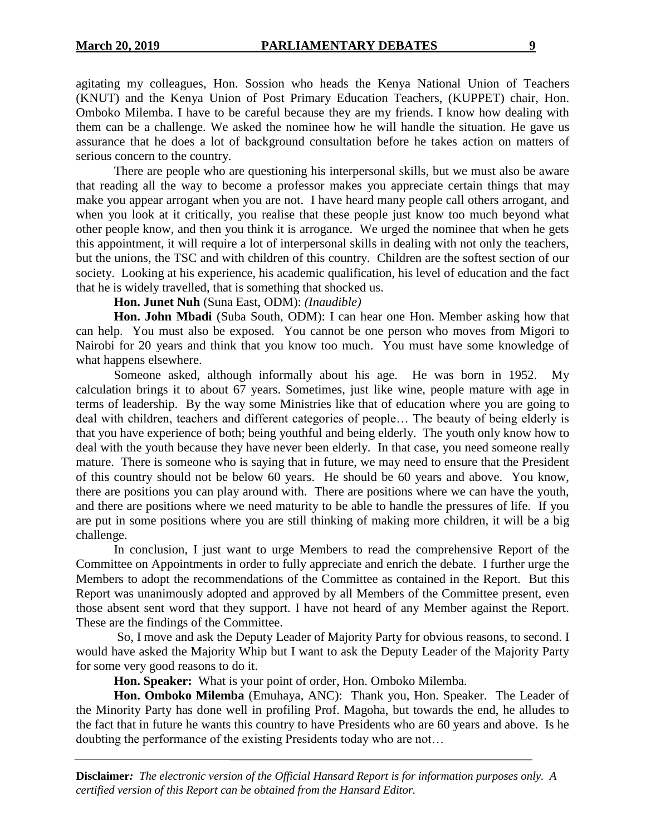agitating my colleagues, Hon. Sossion who heads the Kenya National Union of Teachers (KNUT) and the Kenya Union of Post Primary Education Teachers, (KUPPET) chair, Hon. Omboko Milemba. I have to be careful because they are my friends. I know how dealing with them can be a challenge. We asked the nominee how he will handle the situation. He gave us assurance that he does a lot of background consultation before he takes action on matters of serious concern to the country.

There are people who are questioning his interpersonal skills, but we must also be aware that reading all the way to become a professor makes you appreciate certain things that may make you appear arrogant when you are not. I have heard many people call others arrogant, and when you look at it critically, you realise that these people just know too much beyond what other people know, and then you think it is arrogance. We urged the nominee that when he gets this appointment, it will require a lot of interpersonal skills in dealing with not only the teachers, but the unions, the TSC and with children of this country. Children are the softest section of our society. Looking at his experience, his academic qualification, his level of education and the fact that he is widely travelled, that is something that shocked us.

**Hon. Junet Nuh** (Suna East, ODM): *(Inaudible)*

**Hon. John Mbadi** (Suba South, ODM): I can hear one Hon. Member asking how that can help. You must also be exposed. You cannot be one person who moves from Migori to Nairobi for 20 years and think that you know too much. You must have some knowledge of what happens elsewhere.

Someone asked, although informally about his age. He was born in 1952. My calculation brings it to about 67 years. Sometimes, just like wine, people mature with age in terms of leadership. By the way some Ministries like that of education where you are going to deal with children, teachers and different categories of people… The beauty of being elderly is that you have experience of both; being youthful and being elderly. The youth only know how to deal with the youth because they have never been elderly. In that case, you need someone really mature. There is someone who is saying that in future, we may need to ensure that the President of this country should not be below 60 years. He should be 60 years and above. You know, there are positions you can play around with. There are positions where we can have the youth, and there are positions where we need maturity to be able to handle the pressures of life. If you are put in some positions where you are still thinking of making more children, it will be a big challenge.

In conclusion, I just want to urge Members to read the comprehensive Report of the Committee on Appointments in order to fully appreciate and enrich the debate. I further urge the Members to adopt the recommendations of the Committee as contained in the Report. But this Report was unanimously adopted and approved by all Members of the Committee present, even those absent sent word that they support. I have not heard of any Member against the Report. These are the findings of the Committee.

So, I move and ask the Deputy Leader of Majority Party for obvious reasons, to second. I would have asked the Majority Whip but I want to ask the Deputy Leader of the Majority Party for some very good reasons to do it.

**Hon. Speaker:** What is your point of order, Hon. Omboko Milemba.

**Hon. Omboko Milemba** (Emuhaya, ANC): Thank you, Hon. Speaker. The Leader of the Minority Party has done well in profiling Prof. Magoha, but towards the end, he alludes to the fact that in future he wants this country to have Presidents who are 60 years and above. Is he doubting the performance of the existing Presidents today who are not…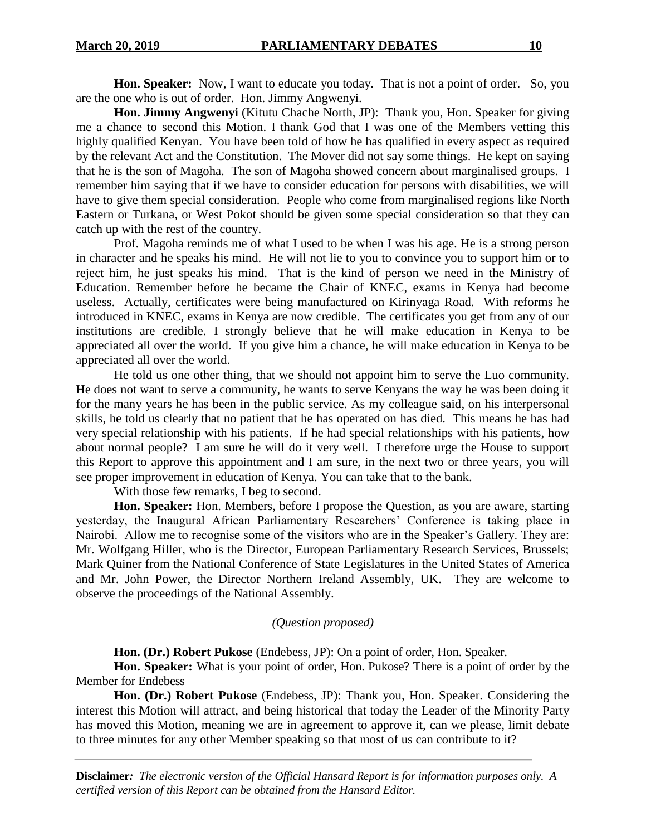**Hon. Speaker:** Now, I want to educate you today. That is not a point of order. So, you are the one who is out of order. Hon. Jimmy Angwenyi.

**Hon. Jimmy Angwenyi** (Kitutu Chache North, JP): Thank you, Hon. Speaker for giving me a chance to second this Motion. I thank God that I was one of the Members vetting this highly qualified Kenyan. You have been told of how he has qualified in every aspect as required by the relevant Act and the Constitution. The Mover did not say some things. He kept on saying that he is the son of Magoha. The son of Magoha showed concern about marginalised groups. I remember him saying that if we have to consider education for persons with disabilities, we will have to give them special consideration. People who come from marginalised regions like North Eastern or Turkana, or West Pokot should be given some special consideration so that they can catch up with the rest of the country.

Prof. Magoha reminds me of what I used to be when I was his age. He is a strong person in character and he speaks his mind. He will not lie to you to convince you to support him or to reject him, he just speaks his mind. That is the kind of person we need in the Ministry of Education. Remember before he became the Chair of KNEC, exams in Kenya had become useless. Actually, certificates were being manufactured on Kirinyaga Road. With reforms he introduced in KNEC, exams in Kenya are now credible. The certificates you get from any of our institutions are credible. I strongly believe that he will make education in Kenya to be appreciated all over the world. If you give him a chance, he will make education in Kenya to be appreciated all over the world.

He told us one other thing, that we should not appoint him to serve the Luo community. He does not want to serve a community, he wants to serve Kenyans the way he was been doing it for the many years he has been in the public service. As my colleague said, on his interpersonal skills, he told us clearly that no patient that he has operated on has died. This means he has had very special relationship with his patients. If he had special relationships with his patients, how about normal people? I am sure he will do it very well. I therefore urge the House to support this Report to approve this appointment and I am sure, in the next two or three years, you will see proper improvement in education of Kenya. You can take that to the bank.

With those few remarks, I beg to second.

**Hon. Speaker:** Hon. Members, before I propose the Question, as you are aware, starting yesterday, the Inaugural African Parliamentary Researchers' Conference is taking place in Nairobi. Allow me to recognise some of the visitors who are in the Speaker's Gallery. They are: Mr. Wolfgang Hiller, who is the Director, European Parliamentary Research Services, Brussels; Mark Quiner from the National Conference of State Legislatures in the United States of America and Mr. John Power, the Director Northern Ireland Assembly, UK. They are welcome to observe the proceedings of the National Assembly.

## *(Question proposed)*

**Hon. (Dr.) Robert Pukose** (Endebess, JP): On a point of order, Hon. Speaker.

**Hon. Speaker:** What is your point of order, Hon. Pukose? There is a point of order by the Member for Endebess

**Hon. (Dr.) Robert Pukose** (Endebess, JP): Thank you, Hon. Speaker. Considering the interest this Motion will attract, and being historical that today the Leader of the Minority Party has moved this Motion, meaning we are in agreement to approve it, can we please, limit debate to three minutes for any other Member speaking so that most of us can contribute to it?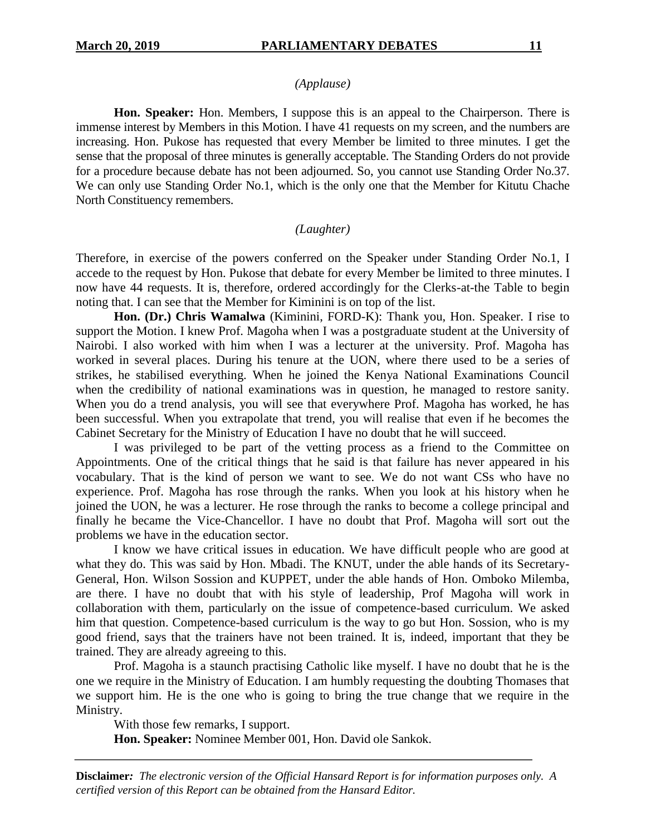## *(Applause)*

**Hon. Speaker:** Hon. Members, I suppose this is an appeal to the Chairperson. There is immense interest by Members in this Motion. I have 41 requests on my screen, and the numbers are increasing. Hon. Pukose has requested that every Member be limited to three minutes. I get the sense that the proposal of three minutes is generally acceptable. The Standing Orders do not provide for a procedure because debate has not been adjourned. So, you cannot use Standing Order No.37. We can only use Standing Order No.1, which is the only one that the Member for Kitutu Chache North Constituency remembers.

## *(Laughter)*

Therefore, in exercise of the powers conferred on the Speaker under Standing Order No.1, I accede to the request by Hon. Pukose that debate for every Member be limited to three minutes. I now have 44 requests. It is, therefore, ordered accordingly for the Clerks-at-the Table to begin noting that. I can see that the Member for Kiminini is on top of the list.

**Hon. (Dr.) Chris Wamalwa** (Kiminini, FORD-K): Thank you, Hon. Speaker. I rise to support the Motion. I knew Prof. Magoha when I was a postgraduate student at the University of Nairobi. I also worked with him when I was a lecturer at the university. Prof. Magoha has worked in several places. During his tenure at the UON, where there used to be a series of strikes, he stabilised everything. When he joined the Kenya National Examinations Council when the credibility of national examinations was in question, he managed to restore sanity. When you do a trend analysis, you will see that everywhere Prof. Magoha has worked, he has been successful. When you extrapolate that trend, you will realise that even if he becomes the Cabinet Secretary for the Ministry of Education I have no doubt that he will succeed.

I was privileged to be part of the vetting process as a friend to the Committee on Appointments. One of the critical things that he said is that failure has never appeared in his vocabulary. That is the kind of person we want to see. We do not want CSs who have no experience. Prof. Magoha has rose through the ranks. When you look at his history when he joined the UON, he was a lecturer. He rose through the ranks to become a college principal and finally he became the Vice-Chancellor. I have no doubt that Prof. Magoha will sort out the problems we have in the education sector.

I know we have critical issues in education. We have difficult people who are good at what they do. This was said by Hon. Mbadi. The KNUT, under the able hands of its Secretary-General, Hon. Wilson Sossion and KUPPET, under the able hands of Hon. Omboko Milemba, are there. I have no doubt that with his style of leadership, Prof Magoha will work in collaboration with them, particularly on the issue of competence-based curriculum. We asked him that question. Competence-based curriculum is the way to go but Hon. Sossion, who is my good friend, says that the trainers have not been trained. It is, indeed, important that they be trained. They are already agreeing to this.

Prof. Magoha is a staunch practising Catholic like myself. I have no doubt that he is the one we require in the Ministry of Education. I am humbly requesting the doubting Thomases that we support him. He is the one who is going to bring the true change that we require in the Ministry.

With those few remarks, I support.

**Hon. Speaker:** Nominee Member 001, Hon. David ole Sankok.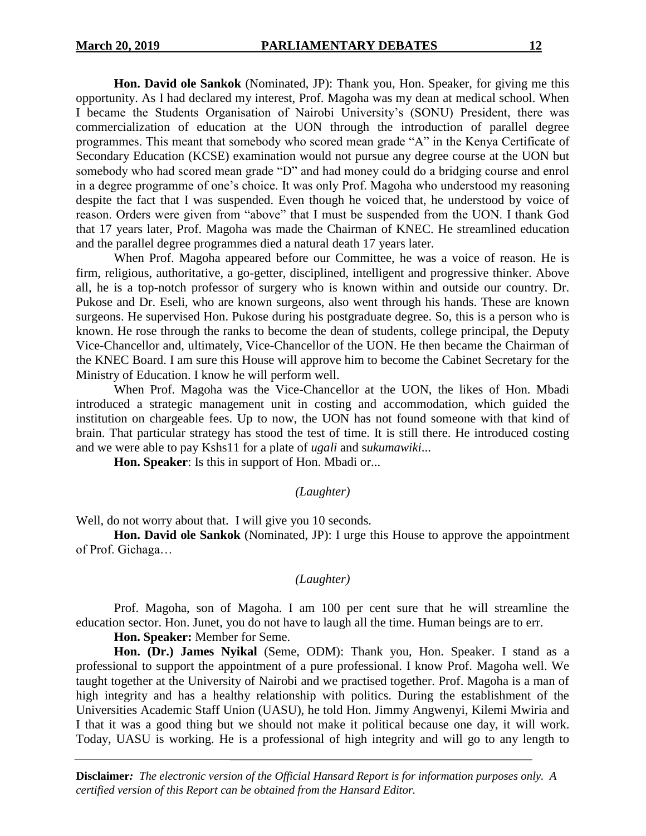**Hon. David ole Sankok** (Nominated, JP): Thank you, Hon. Speaker, for giving me this opportunity. As I had declared my interest, Prof. Magoha was my dean at medical school. When I became the Students Organisation of Nairobi University's (SONU) President, there was commercialization of education at the UON through the introduction of parallel degree programmes. This meant that somebody who scored mean grade "A" in the Kenya Certificate of Secondary Education (KCSE) examination would not pursue any degree course at the UON but somebody who had scored mean grade "D" and had money could do a bridging course and enrol in a degree programme of one's choice. It was only Prof. Magoha who understood my reasoning despite the fact that I was suspended. Even though he voiced that, he understood by voice of reason. Orders were given from "above" that I must be suspended from the UON. I thank God that 17 years later, Prof. Magoha was made the Chairman of KNEC. He streamlined education and the parallel degree programmes died a natural death 17 years later.

When Prof. Magoha appeared before our Committee, he was a voice of reason. He is firm, religious, authoritative, a go-getter, disciplined, intelligent and progressive thinker. Above all, he is a top-notch professor of surgery who is known within and outside our country. Dr. Pukose and Dr. Eseli, who are known surgeons, also went through his hands. These are known surgeons. He supervised Hon. Pukose during his postgraduate degree. So, this is a person who is known. He rose through the ranks to become the dean of students, college principal, the Deputy Vice-Chancellor and, ultimately, Vice-Chancellor of the UON. He then became the Chairman of the KNEC Board. I am sure this House will approve him to become the Cabinet Secretary for the Ministry of Education. I know he will perform well.

When Prof. Magoha was the Vice-Chancellor at the UON, the likes of Hon. Mbadi introduced a strategic management unit in costing and accommodation, which guided the institution on chargeable fees. Up to now, the UON has not found someone with that kind of brain. That particular strategy has stood the test of time. It is still there. He introduced costing and we were able to pay Kshs11 for a plate of *ugali* and s*ukumawiki*...

**Hon. Speaker**: Is this in support of Hon. Mbadi or...

#### *(Laughter)*

Well, do not worry about that. I will give you 10 seconds.

**Hon. David ole Sankok** (Nominated, JP): I urge this House to approve the appointment of Prof. Gichaga…

#### *(Laughter)*

Prof. Magoha, son of Magoha. I am 100 per cent sure that he will streamline the education sector. Hon. Junet, you do not have to laugh all the time. Human beings are to err.

**Hon. Speaker:** Member for Seme.

**Hon. (Dr.) James Nyikal** (Seme, ODM): Thank you, Hon. Speaker. I stand as a professional to support the appointment of a pure professional. I know Prof. Magoha well. We taught together at the University of Nairobi and we practised together. Prof. Magoha is a man of high integrity and has a healthy relationship with politics. During the establishment of the Universities Academic Staff Union (UASU), he told Hon. Jimmy Angwenyi, Kilemi Mwiria and I that it was a good thing but we should not make it political because one day, it will work. Today, UASU is working. He is a professional of high integrity and will go to any length to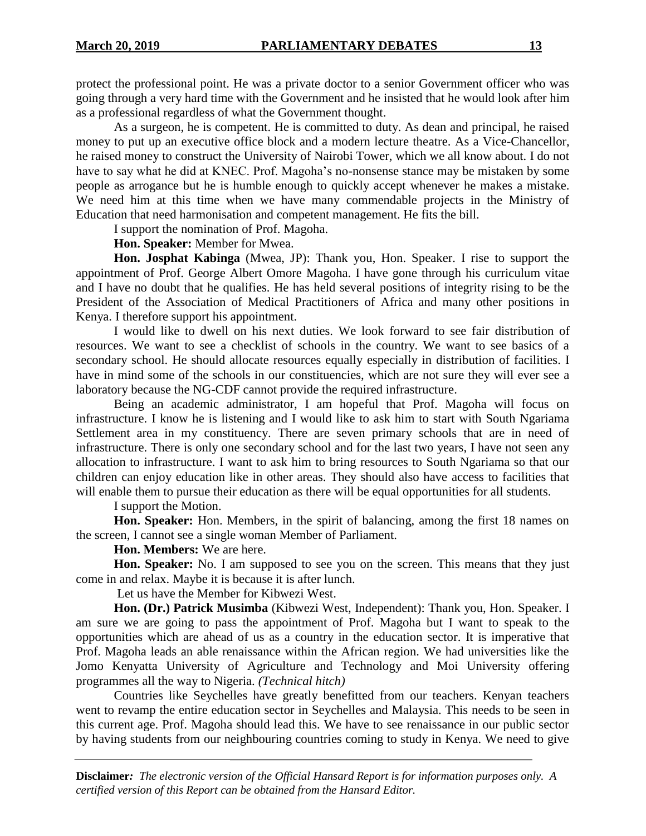protect the professional point. He was a private doctor to a senior Government officer who was going through a very hard time with the Government and he insisted that he would look after him as a professional regardless of what the Government thought.

As a surgeon, he is competent. He is committed to duty. As dean and principal, he raised money to put up an executive office block and a modern lecture theatre. As a Vice-Chancellor, he raised money to construct the University of Nairobi Tower, which we all know about. I do not have to say what he did at KNEC. Prof. Magoha's no-nonsense stance may be mistaken by some people as arrogance but he is humble enough to quickly accept whenever he makes a mistake. We need him at this time when we have many commendable projects in the Ministry of Education that need harmonisation and competent management. He fits the bill.

I support the nomination of Prof. Magoha.

**Hon. Speaker:** Member for Mwea.

**Hon. Josphat Kabinga** (Mwea, JP): Thank you, Hon. Speaker. I rise to support the appointment of Prof. George Albert Omore Magoha. I have gone through his curriculum vitae and I have no doubt that he qualifies. He has held several positions of integrity rising to be the President of the Association of Medical Practitioners of Africa and many other positions in Kenya. I therefore support his appointment.

I would like to dwell on his next duties. We look forward to see fair distribution of resources. We want to see a checklist of schools in the country. We want to see basics of a secondary school. He should allocate resources equally especially in distribution of facilities. I have in mind some of the schools in our constituencies, which are not sure they will ever see a laboratory because the NG-CDF cannot provide the required infrastructure.

Being an academic administrator, I am hopeful that Prof. Magoha will focus on infrastructure. I know he is listening and I would like to ask him to start with South Ngariama Settlement area in my constituency. There are seven primary schools that are in need of infrastructure. There is only one secondary school and for the last two years, I have not seen any allocation to infrastructure. I want to ask him to bring resources to South Ngariama so that our children can enjoy education like in other areas. They should also have access to facilities that will enable them to pursue their education as there will be equal opportunities for all students.

I support the Motion.

**Hon. Speaker:** Hon. Members, in the spirit of balancing, among the first 18 names on the screen, I cannot see a single woman Member of Parliament.

**Hon. Members:** We are here.

**Hon. Speaker:** No. I am supposed to see you on the screen. This means that they just come in and relax. Maybe it is because it is after lunch.

Let us have the Member for Kibwezi West.

**Hon. (Dr.) Patrick Musimba** (Kibwezi West, Independent): Thank you, Hon. Speaker. I am sure we are going to pass the appointment of Prof. Magoha but I want to speak to the opportunities which are ahead of us as a country in the education sector. It is imperative that Prof. Magoha leads an able renaissance within the African region. We had universities like the Jomo Kenyatta University of Agriculture and Technology and Moi University offering programmes all the way to Nigeria. *(Technical hitch)*

Countries like Seychelles have greatly benefitted from our teachers. Kenyan teachers went to revamp the entire education sector in Seychelles and Malaysia. This needs to be seen in this current age. Prof. Magoha should lead this. We have to see renaissance in our public sector by having students from our neighbouring countries coming to study in Kenya. We need to give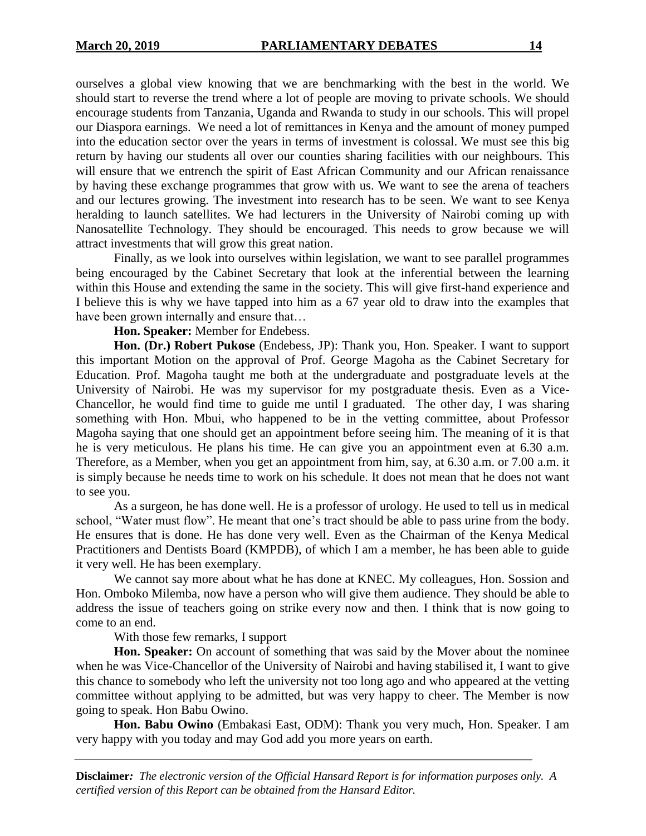ourselves a global view knowing that we are benchmarking with the best in the world. We should start to reverse the trend where a lot of people are moving to private schools. We should encourage students from Tanzania, Uganda and Rwanda to study in our schools. This will propel our Diaspora earnings. We need a lot of remittances in Kenya and the amount of money pumped into the education sector over the years in terms of investment is colossal. We must see this big return by having our students all over our counties sharing facilities with our neighbours. This will ensure that we entrench the spirit of East African Community and our African renaissance by having these exchange programmes that grow with us. We want to see the arena of teachers and our lectures growing. The investment into research has to be seen. We want to see Kenya heralding to launch satellites. We had lecturers in the University of Nairobi coming up with Nanosatellite Technology. They should be encouraged. This needs to grow because we will attract investments that will grow this great nation.

Finally, as we look into ourselves within legislation, we want to see parallel programmes being encouraged by the Cabinet Secretary that look at the inferential between the learning within this House and extending the same in the society. This will give first-hand experience and I believe this is why we have tapped into him as a 67 year old to draw into the examples that have been grown internally and ensure that…

**Hon. Speaker:** Member for Endebess.

**Hon. (Dr.) Robert Pukose** (Endebess, JP): Thank you, Hon. Speaker. I want to support this important Motion on the approval of Prof. George Magoha as the Cabinet Secretary for Education. Prof. Magoha taught me both at the undergraduate and postgraduate levels at the University of Nairobi. He was my supervisor for my postgraduate thesis. Even as a Vice-Chancellor, he would find time to guide me until I graduated. The other day, I was sharing something with Hon. Mbui, who happened to be in the vetting committee, about Professor Magoha saying that one should get an appointment before seeing him. The meaning of it is that he is very meticulous. He plans his time. He can give you an appointment even at 6.30 a.m. Therefore, as a Member, when you get an appointment from him, say, at 6.30 a.m. or 7.00 a.m. it is simply because he needs time to work on his schedule. It does not mean that he does not want to see you.

As a surgeon, he has done well. He is a professor of urology. He used to tell us in medical school, "Water must flow". He meant that one's tract should be able to pass urine from the body. He ensures that is done. He has done very well. Even as the Chairman of the Kenya Medical Practitioners and Dentists Board (KMPDB), of which I am a member, he has been able to guide it very well. He has been exemplary.

We cannot say more about what he has done at KNEC. My colleagues, Hon. Sossion and Hon. Omboko Milemba, now have a person who will give them audience. They should be able to address the issue of teachers going on strike every now and then. I think that is now going to come to an end.

With those few remarks, I support

**Hon. Speaker:** On account of something that was said by the Mover about the nominee when he was Vice-Chancellor of the University of Nairobi and having stabilised it, I want to give this chance to somebody who left the university not too long ago and who appeared at the vetting committee without applying to be admitted, but was very happy to cheer. The Member is now going to speak. Hon Babu Owino.

**Hon. Babu Owino** (Embakasi East, ODM): Thank you very much, Hon. Speaker. I am very happy with you today and may God add you more years on earth.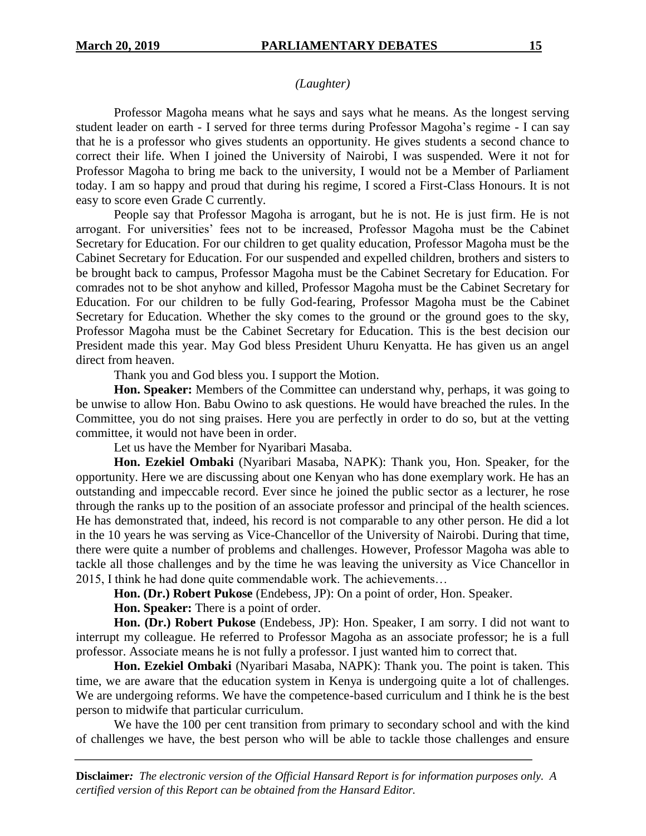## *(Laughter)*

Professor Magoha means what he says and says what he means. As the longest serving student leader on earth - I served for three terms during Professor Magoha's regime - I can say that he is a professor who gives students an opportunity. He gives students a second chance to correct their life. When I joined the University of Nairobi, I was suspended. Were it not for Professor Magoha to bring me back to the university, I would not be a Member of Parliament today. I am so happy and proud that during his regime, I scored a First-Class Honours. It is not easy to score even Grade C currently.

People say that Professor Magoha is arrogant, but he is not. He is just firm. He is not arrogant. For universities' fees not to be increased, Professor Magoha must be the Cabinet Secretary for Education. For our children to get quality education, Professor Magoha must be the Cabinet Secretary for Education. For our suspended and expelled children, brothers and sisters to be brought back to campus, Professor Magoha must be the Cabinet Secretary for Education. For comrades not to be shot anyhow and killed, Professor Magoha must be the Cabinet Secretary for Education. For our children to be fully God-fearing, Professor Magoha must be the Cabinet Secretary for Education. Whether the sky comes to the ground or the ground goes to the sky, Professor Magoha must be the Cabinet Secretary for Education. This is the best decision our President made this year. May God bless President Uhuru Kenyatta. He has given us an angel direct from heaven.

Thank you and God bless you. I support the Motion.

**Hon. Speaker:** Members of the Committee can understand why, perhaps, it was going to be unwise to allow Hon. Babu Owino to ask questions. He would have breached the rules. In the Committee, you do not sing praises. Here you are perfectly in order to do so, but at the vetting committee, it would not have been in order.

Let us have the Member for Nyaribari Masaba.

**Hon. Ezekiel Ombaki** (Nyaribari Masaba, NAPK): Thank you, Hon. Speaker, for the opportunity. Here we are discussing about one Kenyan who has done exemplary work. He has an outstanding and impeccable record. Ever since he joined the public sector as a lecturer, he rose through the ranks up to the position of an associate professor and principal of the health sciences. He has demonstrated that, indeed, his record is not comparable to any other person. He did a lot in the 10 years he was serving as Vice-Chancellor of the University of Nairobi. During that time, there were quite a number of problems and challenges. However, Professor Magoha was able to tackle all those challenges and by the time he was leaving the university as Vice Chancellor in 2015, I think he had done quite commendable work. The achievements…

**Hon. (Dr.) Robert Pukose** (Endebess, JP): On a point of order, Hon. Speaker.

**Hon. Speaker:** There is a point of order.

**Hon. (Dr.) Robert Pukose** (Endebess, JP): Hon. Speaker, I am sorry. I did not want to interrupt my colleague. He referred to Professor Magoha as an associate professor; he is a full professor. Associate means he is not fully a professor. I just wanted him to correct that.

**Hon. Ezekiel Ombaki** (Nyaribari Masaba, NAPK): Thank you. The point is taken. This time, we are aware that the education system in Kenya is undergoing quite a lot of challenges. We are undergoing reforms. We have the competence-based curriculum and I think he is the best person to midwife that particular curriculum.

We have the 100 per cent transition from primary to secondary school and with the kind of challenges we have, the best person who will be able to tackle those challenges and ensure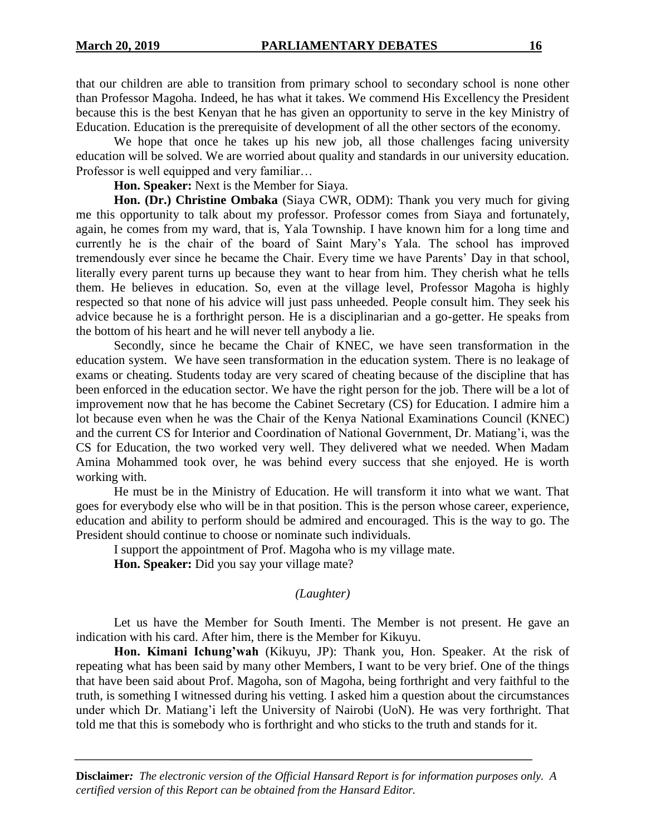that our children are able to transition from primary school to secondary school is none other than Professor Magoha. Indeed, he has what it takes. We commend His Excellency the President because this is the best Kenyan that he has given an opportunity to serve in the key Ministry of Education. Education is the prerequisite of development of all the other sectors of the economy.

We hope that once he takes up his new job, all those challenges facing university education will be solved. We are worried about quality and standards in our university education. Professor is well equipped and very familiar…

**Hon. Speaker:** Next is the Member for Siaya.

**Hon. (Dr.) Christine Ombaka** (Siaya CWR, ODM): Thank you very much for giving me this opportunity to talk about my professor. Professor comes from Siaya and fortunately, again, he comes from my ward, that is, Yala Township. I have known him for a long time and currently he is the chair of the board of Saint Mary's Yala. The school has improved tremendously ever since he became the Chair. Every time we have Parents' Day in that school, literally every parent turns up because they want to hear from him. They cherish what he tells them. He believes in education. So, even at the village level, Professor Magoha is highly respected so that none of his advice will just pass unheeded. People consult him. They seek his advice because he is a forthright person. He is a disciplinarian and a go-getter. He speaks from the bottom of his heart and he will never tell anybody a lie.

Secondly, since he became the Chair of KNEC, we have seen transformation in the education system. We have seen transformation in the education system. There is no leakage of exams or cheating. Students today are very scared of cheating because of the discipline that has been enforced in the education sector. We have the right person for the job. There will be a lot of improvement now that he has become the Cabinet Secretary (CS) for Education. I admire him a lot because even when he was the Chair of the Kenya National Examinations Council (KNEC) and the current CS for Interior and Coordination of National Government, Dr. Matiang'i, was the CS for Education, the two worked very well. They delivered what we needed. When Madam Amina Mohammed took over, he was behind every success that she enjoyed. He is worth working with.

He must be in the Ministry of Education. He will transform it into what we want. That goes for everybody else who will be in that position. This is the person whose career, experience, education and ability to perform should be admired and encouraged. This is the way to go. The President should continue to choose or nominate such individuals.

I support the appointment of Prof. Magoha who is my village mate.

**Hon. Speaker:** Did you say your village mate?

### *(Laughter)*

Let us have the Member for South Imenti. The Member is not present. He gave an indication with his card. After him, there is the Member for Kikuyu.

**Hon. Kimani Ichung'wah** (Kikuyu, JP): Thank you, Hon. Speaker. At the risk of repeating what has been said by many other Members, I want to be very brief. One of the things that have been said about Prof. Magoha, son of Magoha, being forthright and very faithful to the truth, is something I witnessed during his vetting. I asked him a question about the circumstances under which Dr. Matiang'i left the University of Nairobi (UoN). He was very forthright. That told me that this is somebody who is forthright and who sticks to the truth and stands for it.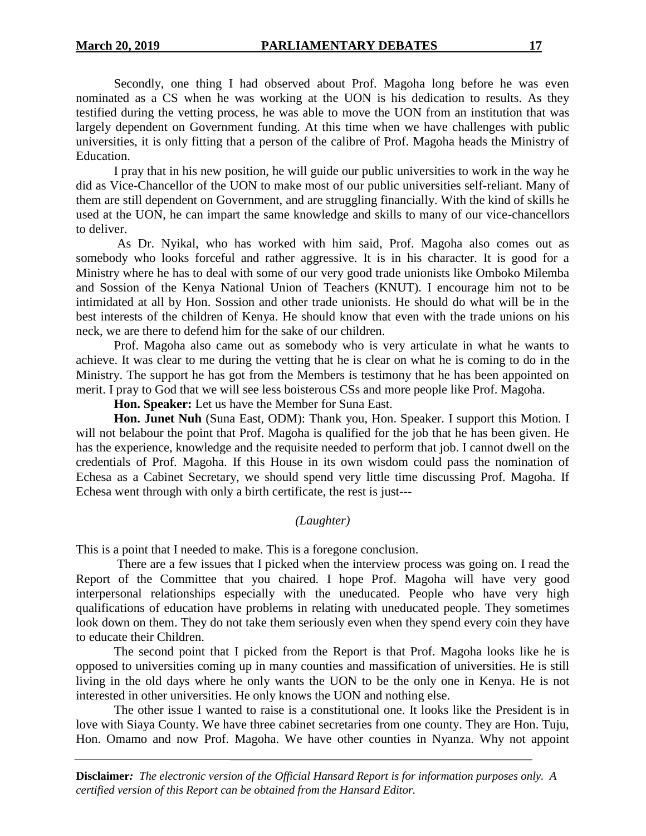Secondly, one thing I had observed about Prof. Magoha long before he was even nominated as a CS when he was working at the UON is his dedication to results. As they testified during the vetting process, he was able to move the UON from an institution that was largely dependent on Government funding. At this time when we have challenges with public universities, it is only fitting that a person of the calibre of Prof. Magoha heads the Ministry of Education.

I pray that in his new position, he will guide our public universities to work in the way he did as Vice-Chancellor of the UON to make most of our public universities self-reliant. Many of them are still dependent on Government, and are struggling financially. With the kind of skills he used at the UON, he can impart the same knowledge and skills to many of our vice-chancellors to deliver.

As Dr. Nyikal, who has worked with him said, Prof. Magoha also comes out as somebody who looks forceful and rather aggressive. It is in his character. It is good for a Ministry where he has to deal with some of our very good trade unionists like Omboko Milemba and Sossion of the Kenya National Union of Teachers (KNUT). I encourage him not to be intimidated at all by Hon. Sossion and other trade unionists. He should do what will be in the best interests of the children of Kenya. He should know that even with the trade unions on his neck, we are there to defend him for the sake of our children.

Prof. Magoha also came out as somebody who is very articulate in what he wants to achieve. It was clear to me during the vetting that he is clear on what he is coming to do in the Ministry. The support he has got from the Members is testimony that he has been appointed on merit. I pray to God that we will see less boisterous CSs and more people like Prof. Magoha.

**Hon. Speaker:** Let us have the Member for Suna East.

**Hon. Junet Nuh** (Suna East, ODM): Thank you, Hon. Speaker. I support this Motion. I will not belabour the point that Prof. Magoha is qualified for the job that he has been given. He has the experience, knowledge and the requisite needed to perform that job. I cannot dwell on the credentials of Prof. Magoha. If this House in its own wisdom could pass the nomination of Echesa as a Cabinet Secretary, we should spend very little time discussing Prof. Magoha. If Echesa went through with only a birth certificate, the rest is just---

## *(Laughter)*

This is a point that I needed to make. This is a foregone conclusion.

There are a few issues that I picked when the interview process was going on. I read the Report of the Committee that you chaired. I hope Prof. Magoha will have very good interpersonal relationships especially with the uneducated. People who have very high qualifications of education have problems in relating with uneducated people. They sometimes look down on them. They do not take them seriously even when they spend every coin they have to educate their Children.

The second point that I picked from the Report is that Prof. Magoha looks like he is opposed to universities coming up in many counties and massification of universities. He is still living in the old days where he only wants the UON to be the only one in Kenya. He is not interested in other universities. He only knows the UON and nothing else.

The other issue I wanted to raise is a constitutional one. It looks like the President is in love with Siaya County. We have three cabinet secretaries from one county. They are Hon. Tuju, Hon. Omamo and now Prof. Magoha. We have other counties in Nyanza. Why not appoint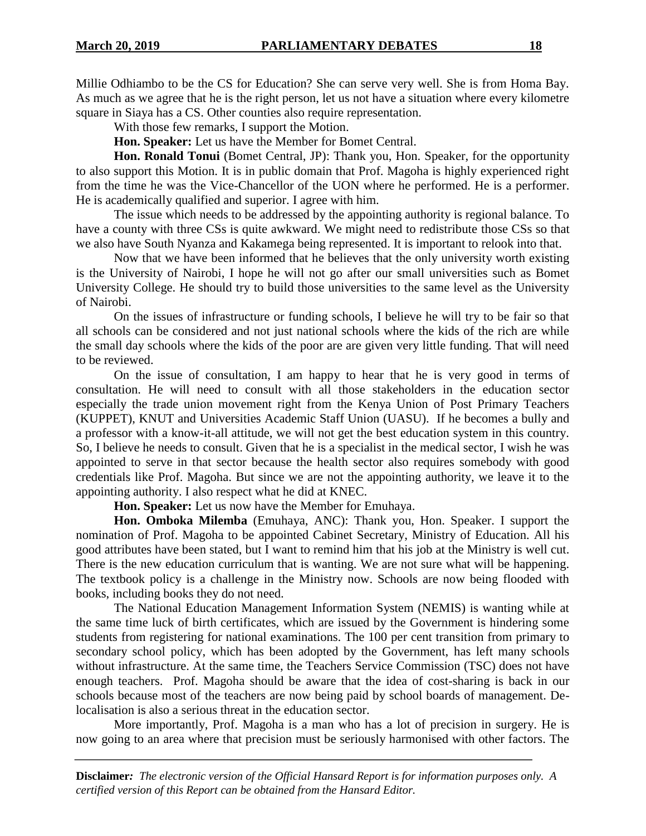Millie Odhiambo to be the CS for Education? She can serve very well. She is from Homa Bay. As much as we agree that he is the right person, let us not have a situation where every kilometre square in Siaya has a CS. Other counties also require representation.

With those few remarks, I support the Motion.

**Hon. Speaker:** Let us have the Member for Bomet Central.

Hon. Ronald Tonui (Bomet Central, JP): Thank you, Hon. Speaker, for the opportunity to also support this Motion. It is in public domain that Prof. Magoha is highly experienced right from the time he was the Vice-Chancellor of the UON where he performed. He is a performer. He is academically qualified and superior. I agree with him.

The issue which needs to be addressed by the appointing authority is regional balance. To have a county with three CSs is quite awkward. We might need to redistribute those CSs so that we also have South Nyanza and Kakamega being represented. It is important to relook into that.

Now that we have been informed that he believes that the only university worth existing is the University of Nairobi, I hope he will not go after our small universities such as Bomet University College. He should try to build those universities to the same level as the University of Nairobi.

On the issues of infrastructure or funding schools, I believe he will try to be fair so that all schools can be considered and not just national schools where the kids of the rich are while the small day schools where the kids of the poor are are given very little funding. That will need to be reviewed.

On the issue of consultation, I am happy to hear that he is very good in terms of consultation. He will need to consult with all those stakeholders in the education sector especially the trade union movement right from the Kenya Union of Post Primary Teachers (KUPPET), KNUT and Universities Academic Staff Union (UASU). If he becomes a bully and a professor with a know-it-all attitude, we will not get the best education system in this country. So, I believe he needs to consult. Given that he is a specialist in the medical sector, I wish he was appointed to serve in that sector because the health sector also requires somebody with good credentials like Prof. Magoha. But since we are not the appointing authority, we leave it to the appointing authority. I also respect what he did at KNEC.

**Hon. Speaker:** Let us now have the Member for Emuhaya.

**Hon. Omboka Milemba** (Emuhaya, ANC): Thank you, Hon. Speaker. I support the nomination of Prof. Magoha to be appointed Cabinet Secretary, Ministry of Education. All his good attributes have been stated, but I want to remind him that his job at the Ministry is well cut. There is the new education curriculum that is wanting. We are not sure what will be happening. The textbook policy is a challenge in the Ministry now. Schools are now being flooded with books, including books they do not need.

The National Education Management Information System (NEMIS) is wanting while at the same time luck of birth certificates, which are issued by the Government is hindering some students from registering for national examinations. The 100 per cent transition from primary to secondary school policy, which has been adopted by the Government, has left many schools without infrastructure. At the same time, the Teachers Service Commission (TSC) does not have enough teachers. Prof. Magoha should be aware that the idea of cost-sharing is back in our schools because most of the teachers are now being paid by school boards of management. Delocalisation is also a serious threat in the education sector.

More importantly, Prof. Magoha is a man who has a lot of precision in surgery. He is now going to an area where that precision must be seriously harmonised with other factors. The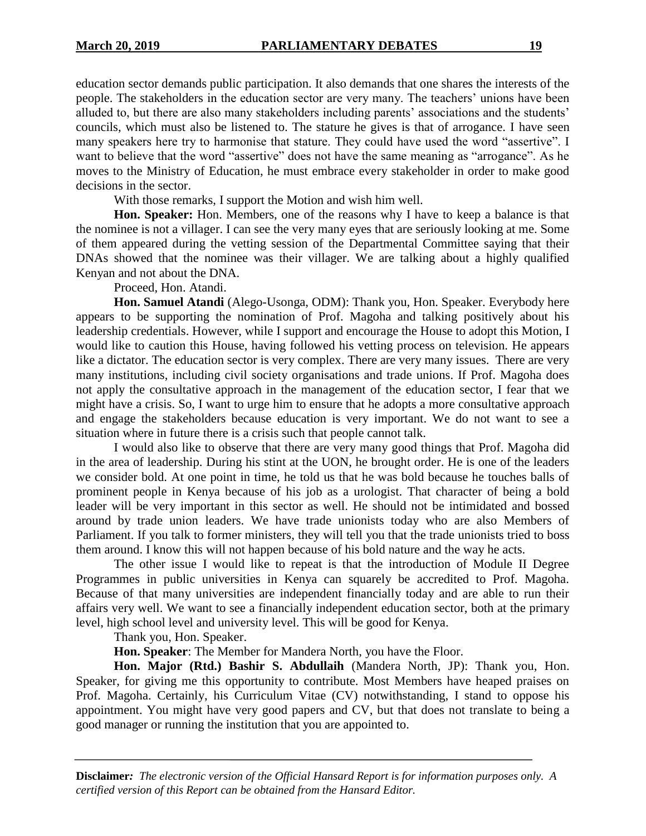education sector demands public participation. It also demands that one shares the interests of the people. The stakeholders in the education sector are very many. The teachers' unions have been alluded to, but there are also many stakeholders including parents' associations and the students' councils, which must also be listened to. The stature he gives is that of arrogance. I have seen many speakers here try to harmonise that stature. They could have used the word "assertive". I want to believe that the word "assertive" does not have the same meaning as "arrogance". As he moves to the Ministry of Education, he must embrace every stakeholder in order to make good decisions in the sector.

With those remarks, I support the Motion and wish him well.

**Hon. Speaker:** Hon. Members, one of the reasons why I have to keep a balance is that the nominee is not a villager. I can see the very many eyes that are seriously looking at me. Some of them appeared during the vetting session of the Departmental Committee saying that their DNAs showed that the nominee was their villager. We are talking about a highly qualified Kenyan and not about the DNA.

Proceed, Hon. Atandi.

**Hon. Samuel Atandi** (Alego-Usonga, ODM): Thank you, Hon. Speaker. Everybody here appears to be supporting the nomination of Prof. Magoha and talking positively about his leadership credentials. However, while I support and encourage the House to adopt this Motion, I would like to caution this House, having followed his vetting process on television. He appears like a dictator. The education sector is very complex. There are very many issues. There are very many institutions, including civil society organisations and trade unions. If Prof. Magoha does not apply the consultative approach in the management of the education sector, I fear that we might have a crisis. So, I want to urge him to ensure that he adopts a more consultative approach and engage the stakeholders because education is very important. We do not want to see a situation where in future there is a crisis such that people cannot talk.

I would also like to observe that there are very many good things that Prof. Magoha did in the area of leadership. During his stint at the UON, he brought order. He is one of the leaders we consider bold. At one point in time, he told us that he was bold because he touches balls of prominent people in Kenya because of his job as a urologist. That character of being a bold leader will be very important in this sector as well. He should not be intimidated and bossed around by trade union leaders. We have trade unionists today who are also Members of Parliament. If you talk to former ministers, they will tell you that the trade unionists tried to boss them around. I know this will not happen because of his bold nature and the way he acts.

The other issue I would like to repeat is that the introduction of Module II Degree Programmes in public universities in Kenya can squarely be accredited to Prof. Magoha. Because of that many universities are independent financially today and are able to run their affairs very well. We want to see a financially independent education sector, both at the primary level, high school level and university level. This will be good for Kenya.

Thank you, Hon. Speaker.

**Hon. Speaker**: The Member for Mandera North, you have the Floor.

**Hon. Major (Rtd.) Bashir S. Abdullaih** (Mandera North, JP): Thank you, Hon. Speaker, for giving me this opportunity to contribute. Most Members have heaped praises on Prof. Magoha. Certainly, his Curriculum Vitae (CV) notwithstanding, I stand to oppose his appointment. You might have very good papers and CV, but that does not translate to being a good manager or running the institution that you are appointed to.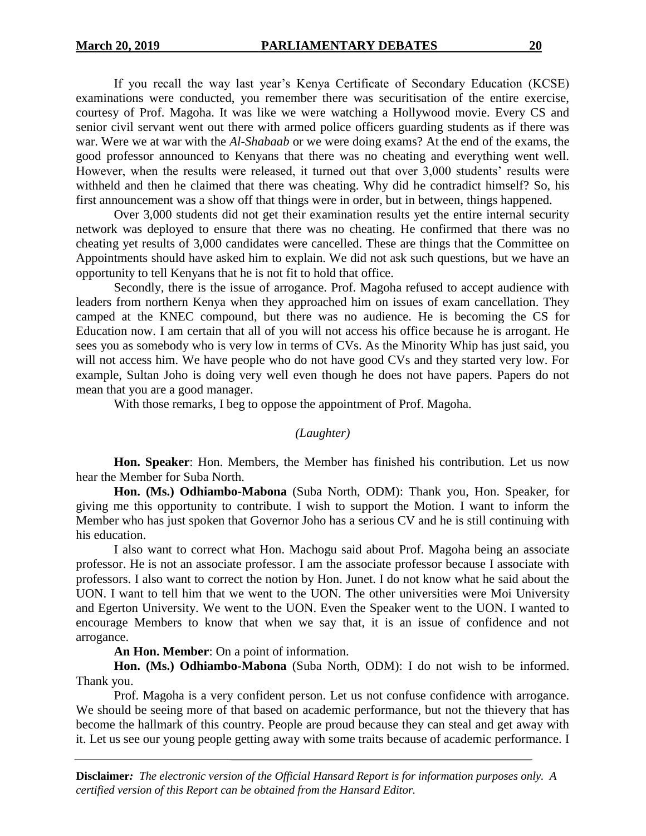If you recall the way last year's Kenya Certificate of Secondary Education (KCSE) examinations were conducted, you remember there was securitisation of the entire exercise, courtesy of Prof. Magoha. It was like we were watching a Hollywood movie. Every CS and senior civil servant went out there with armed police officers guarding students as if there was war. Were we at war with the *Al-Shabaab* or we were doing exams? At the end of the exams, the good professor announced to Kenyans that there was no cheating and everything went well. However, when the results were released, it turned out that over 3,000 students' results were withheld and then he claimed that there was cheating. Why did he contradict himself? So, his first announcement was a show off that things were in order, but in between, things happened.

Over 3,000 students did not get their examination results yet the entire internal security network was deployed to ensure that there was no cheating. He confirmed that there was no cheating yet results of 3,000 candidates were cancelled. These are things that the Committee on Appointments should have asked him to explain. We did not ask such questions, but we have an opportunity to tell Kenyans that he is not fit to hold that office.

Secondly, there is the issue of arrogance. Prof. Magoha refused to accept audience with leaders from northern Kenya when they approached him on issues of exam cancellation. They camped at the KNEC compound, but there was no audience. He is becoming the CS for Education now. I am certain that all of you will not access his office because he is arrogant. He sees you as somebody who is very low in terms of CVs. As the Minority Whip has just said, you will not access him. We have people who do not have good CVs and they started very low. For example, Sultan Joho is doing very well even though he does not have papers. Papers do not mean that you are a good manager.

With those remarks, I beg to oppose the appointment of Prof. Magoha.

## *(Laughter)*

**Hon. Speaker**: Hon. Members, the Member has finished his contribution. Let us now hear the Member for Suba North.

**Hon. (Ms.) Odhiambo-Mabona** (Suba North, ODM): Thank you, Hon. Speaker, for giving me this opportunity to contribute. I wish to support the Motion. I want to inform the Member who has just spoken that Governor Joho has a serious CV and he is still continuing with his education.

I also want to correct what Hon. Machogu said about Prof. Magoha being an associate professor. He is not an associate professor. I am the associate professor because I associate with professors. I also want to correct the notion by Hon. Junet. I do not know what he said about the UON. I want to tell him that we went to the UON. The other universities were Moi University and Egerton University. We went to the UON. Even the Speaker went to the UON. I wanted to encourage Members to know that when we say that, it is an issue of confidence and not arrogance.

#### **An Hon. Member**: On a point of information.

**Hon. (Ms.) Odhiambo-Mabona** (Suba North, ODM): I do not wish to be informed. Thank you.

Prof. Magoha is a very confident person. Let us not confuse confidence with arrogance. We should be seeing more of that based on academic performance, but not the thievery that has become the hallmark of this country. People are proud because they can steal and get away with it. Let us see our young people getting away with some traits because of academic performance. I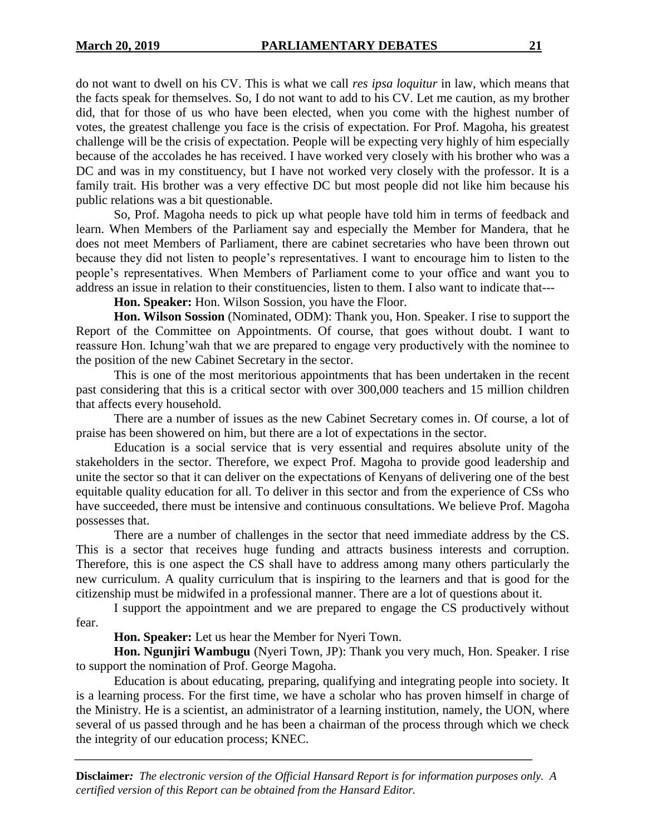do not want to dwell on his CV. This is what we call *res ipsa loquitur* in law, which means that the facts speak for themselves. So, I do not want to add to his CV. Let me caution, as my brother did, that for those of us who have been elected, when you come with the highest number of votes, the greatest challenge you face is the crisis of expectation. For Prof. Magoha, his greatest challenge will be the crisis of expectation. People will be expecting very highly of him especially because of the accolades he has received. I have worked very closely with his brother who was a DC and was in my constituency, but I have not worked very closely with the professor. It is a family trait. His brother was a very effective DC but most people did not like him because his public relations was a bit questionable.

So, Prof. Magoha needs to pick up what people have told him in terms of feedback and learn. When Members of the Parliament say and especially the Member for Mandera, that he does not meet Members of Parliament, there are cabinet secretaries who have been thrown out because they did not listen to people's representatives. I want to encourage him to listen to the people's representatives. When Members of Parliament come to your office and want you to address an issue in relation to their constituencies, listen to them. I also want to indicate that---

**Hon. Speaker:** Hon. Wilson Sossion, you have the Floor.

**Hon. Wilson Sossion** (Nominated, ODM): Thank you, Hon. Speaker. I rise to support the Report of the Committee on Appointments. Of course, that goes without doubt. I want to reassure Hon. Ichung'wah that we are prepared to engage very productively with the nominee to the position of the new Cabinet Secretary in the sector.

This is one of the most meritorious appointments that has been undertaken in the recent past considering that this is a critical sector with over 300,000 teachers and 15 million children that affects every household.

There are a number of issues as the new Cabinet Secretary comes in. Of course, a lot of praise has been showered on him, but there are a lot of expectations in the sector.

Education is a social service that is very essential and requires absolute unity of the stakeholders in the sector. Therefore, we expect Prof. Magoha to provide good leadership and unite the sector so that it can deliver on the expectations of Kenyans of delivering one of the best equitable quality education for all. To deliver in this sector and from the experience of CSs who have succeeded, there must be intensive and continuous consultations. We believe Prof. Magoha possesses that.

There are a number of challenges in the sector that need immediate address by the CS. This is a sector that receives huge funding and attracts business interests and corruption. Therefore, this is one aspect the CS shall have to address among many others particularly the new curriculum. A quality curriculum that is inspiring to the learners and that is good for the citizenship must be midwifed in a professional manner. There are a lot of questions about it.

I support the appointment and we are prepared to engage the CS productively without fear.

**Hon. Speaker:** Let us hear the Member for Nyeri Town.

**Hon. Ngunjiri Wambugu** (Nyeri Town, JP): Thank you very much, Hon. Speaker. I rise to support the nomination of Prof. George Magoha.

Education is about educating, preparing, qualifying and integrating people into society. It is a learning process. For the first time, we have a scholar who has proven himself in charge of the Ministry. He is a scientist, an administrator of a learning institution, namely, the UON, where several of us passed through and he has been a chairman of the process through which we check the integrity of our education process; KNEC.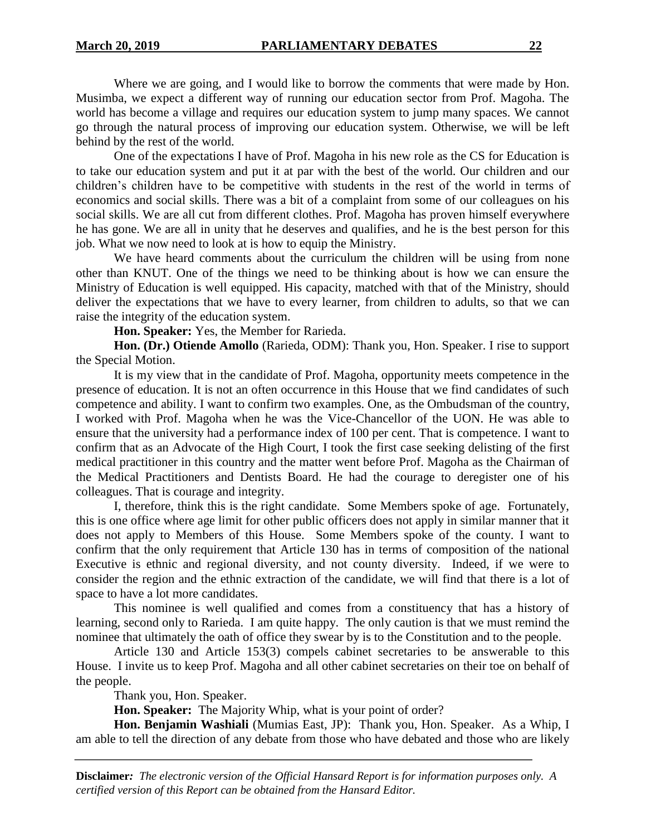Where we are going, and I would like to borrow the comments that were made by Hon. Musimba, we expect a different way of running our education sector from Prof. Magoha. The world has become a village and requires our education system to jump many spaces. We cannot go through the natural process of improving our education system. Otherwise, we will be left behind by the rest of the world.

One of the expectations I have of Prof. Magoha in his new role as the CS for Education is to take our education system and put it at par with the best of the world. Our children and our children's children have to be competitive with students in the rest of the world in terms of economics and social skills. There was a bit of a complaint from some of our colleagues on his social skills. We are all cut from different clothes. Prof. Magoha has proven himself everywhere he has gone. We are all in unity that he deserves and qualifies, and he is the best person for this job. What we now need to look at is how to equip the Ministry.

We have heard comments about the curriculum the children will be using from none other than KNUT. One of the things we need to be thinking about is how we can ensure the Ministry of Education is well equipped. His capacity, matched with that of the Ministry, should deliver the expectations that we have to every learner, from children to adults, so that we can raise the integrity of the education system.

**Hon. Speaker:** Yes, the Member for Rarieda.

**Hon. (Dr.) Otiende Amollo** (Rarieda, ODM): Thank you, Hon. Speaker. I rise to support the Special Motion.

It is my view that in the candidate of Prof. Magoha, opportunity meets competence in the presence of education. It is not an often occurrence in this House that we find candidates of such competence and ability. I want to confirm two examples. One, as the Ombudsman of the country, I worked with Prof. Magoha when he was the Vice-Chancellor of the UON. He was able to ensure that the university had a performance index of 100 per cent. That is competence. I want to confirm that as an Advocate of the High Court, I took the first case seeking delisting of the first medical practitioner in this country and the matter went before Prof. Magoha as the Chairman of the Medical Practitioners and Dentists Board. He had the courage to deregister one of his colleagues. That is courage and integrity.

I, therefore, think this is the right candidate. Some Members spoke of age. Fortunately, this is one office where age limit for other public officers does not apply in similar manner that it does not apply to Members of this House. Some Members spoke of the county. I want to confirm that the only requirement that Article 130 has in terms of composition of the national Executive is ethnic and regional diversity, and not county diversity. Indeed, if we were to consider the region and the ethnic extraction of the candidate, we will find that there is a lot of space to have a lot more candidates.

This nominee is well qualified and comes from a constituency that has a history of learning, second only to Rarieda. I am quite happy. The only caution is that we must remind the nominee that ultimately the oath of office they swear by is to the Constitution and to the people.

Article 130 and Article 153(3) compels cabinet secretaries to be answerable to this House. I invite us to keep Prof. Magoha and all other cabinet secretaries on their toe on behalf of the people.

Thank you, Hon. Speaker.

**Hon. Speaker:** The Majority Whip, what is your point of order?

**Hon. Benjamin Washiali** (Mumias East, JP): Thank you, Hon. Speaker. As a Whip, I am able to tell the direction of any debate from those who have debated and those who are likely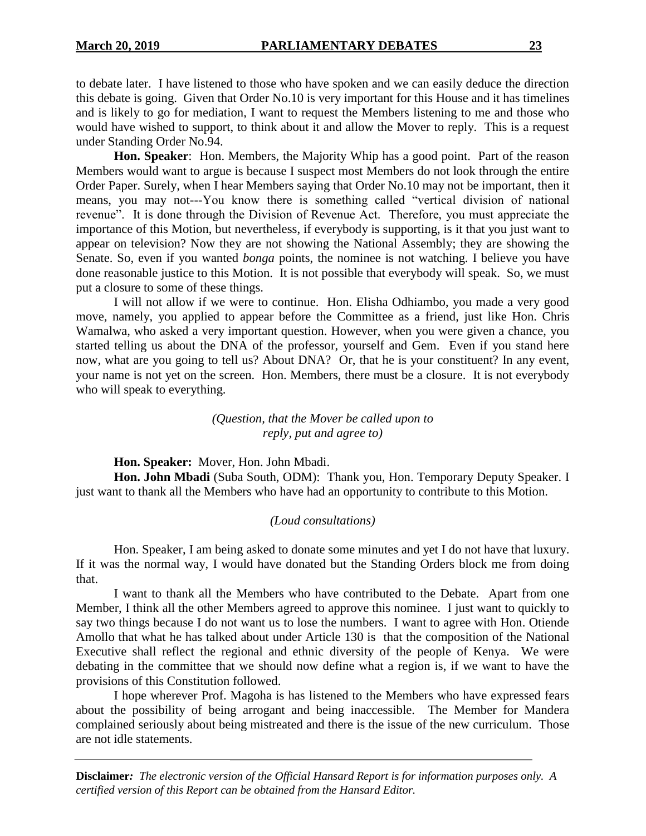under Standing Order No.94.

**Hon. Speaker**: Hon. Members, the Majority Whip has a good point. Part of the reason Members would want to argue is because I suspect most Members do not look through the entire Order Paper. Surely, when I hear Members saying that Order No.10 may not be important, then it means, you may not---You know there is something called "vertical division of national revenue". It is done through the Division of Revenue Act. Therefore, you must appreciate the importance of this Motion, but nevertheless, if everybody is supporting, is it that you just want to appear on television? Now they are not showing the National Assembly; they are showing the Senate. So, even if you wanted *bonga* points, the nominee is not watching. I believe you have done reasonable justice to this Motion. It is not possible that everybody will speak. So, we must put a closure to some of these things.

I will not allow if we were to continue. Hon. Elisha Odhiambo, you made a very good move, namely, you applied to appear before the Committee as a friend, just like Hon. Chris Wamalwa, who asked a very important question. However, when you were given a chance, you started telling us about the DNA of the professor, yourself and Gem. Even if you stand here now, what are you going to tell us? About DNA? Or, that he is your constituent? In any event, your name is not yet on the screen. Hon. Members, there must be a closure. It is not everybody who will speak to everything.

## *(Question, that the Mover be called upon to reply, put and agree to)*

**Hon. Speaker:** Mover, Hon. John Mbadi.

Hon. John Mbadi (Suba South, ODM): Thank you, Hon. Temporary Deputy Speaker. I just want to thank all the Members who have had an opportunity to contribute to this Motion.

## *(Loud consultations)*

Hon. Speaker, I am being asked to donate some minutes and yet I do not have that luxury. If it was the normal way, I would have donated but the Standing Orders block me from doing that.

I want to thank all the Members who have contributed to the Debate. Apart from one Member, I think all the other Members agreed to approve this nominee. I just want to quickly to say two things because I do not want us to lose the numbers. I want to agree with Hon. Otiende Amollo that what he has talked about under Article 130 is that the composition of the National Executive shall reflect the regional and ethnic diversity of the people of Kenya. We were debating in the committee that we should now define what a region is, if we want to have the provisions of this Constitution followed.

I hope wherever Prof. Magoha is has listened to the Members who have expressed fears about the possibility of being arrogant and being inaccessible. The Member for Mandera complained seriously about being mistreated and there is the issue of the new curriculum. Those are not idle statements.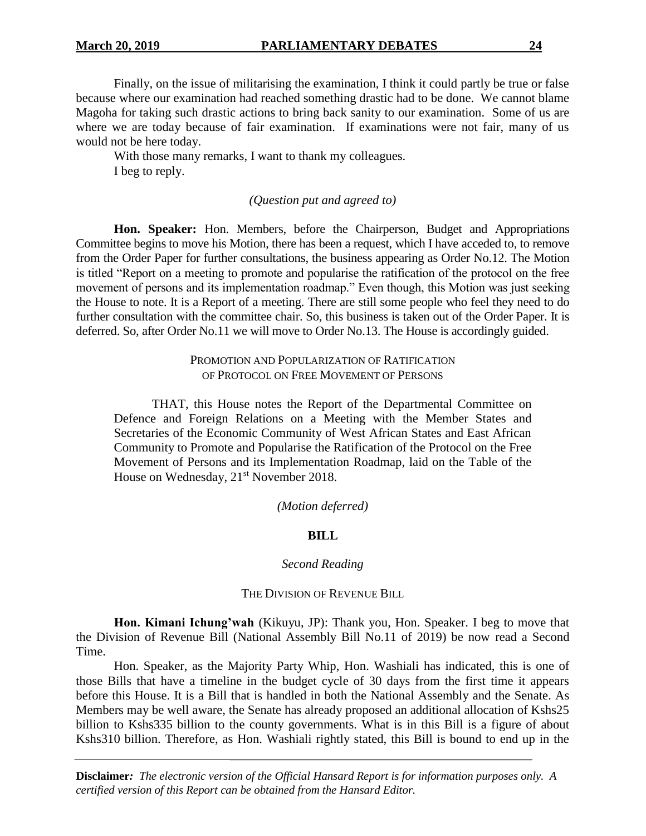Finally, on the issue of militarising the examination, I think it could partly be true or false because where our examination had reached something drastic had to be done. We cannot blame Magoha for taking such drastic actions to bring back sanity to our examination. Some of us are where we are today because of fair examination. If examinations were not fair, many of us would not be here today.

With those many remarks, I want to thank my colleagues. I beg to reply.

### *(Question put and agreed to)*

**Hon. Speaker:** Hon. Members, before the Chairperson, Budget and Appropriations Committee begins to move his Motion, there has been a request, which I have acceded to, to remove from the Order Paper for further consultations, the business appearing as Order No.12. The Motion is titled "Report on a meeting to promote and popularise the ratification of the protocol on the free movement of persons and its implementation roadmap." Even though, this Motion was just seeking the House to note. It is a Report of a meeting. There are still some people who feel they need to do further consultation with the committee chair. So, this business is taken out of the Order Paper. It is deferred. So, after Order No.11 we will move to Order No.13. The House is accordingly guided.

> PROMOTION AND POPULARIZATION OF RATIFICATION OF PROTOCOL ON FREE MOVEMENT OF PERSONS

THAT, this House notes the Report of the Departmental Committee on Defence and Foreign Relations on a Meeting with the Member States and Secretaries of the Economic Community of West African States and East African Community to Promote and Popularise the Ratification of the Protocol on the Free Movement of Persons and its Implementation Roadmap, laid on the Table of the House on Wednesday, 21<sup>st</sup> November 2018.

#### *(Motion deferred)*

#### **BILL**

#### *Second Reading*

#### THE DIVISION OF REVENUE BILL

**Hon. Kimani Ichung'wah** (Kikuyu, JP): Thank you, Hon. Speaker. I beg to move that the Division of Revenue Bill (National Assembly Bill No.11 of 2019) be now read a Second Time.

Hon. Speaker, as the Majority Party Whip, Hon. Washiali has indicated, this is one of those Bills that have a timeline in the budget cycle of 30 days from the first time it appears before this House. It is a Bill that is handled in both the National Assembly and the Senate. As Members may be well aware, the Senate has already proposed an additional allocation of Kshs25 billion to Kshs335 billion to the county governments. What is in this Bill is a figure of about Kshs310 billion. Therefore, as Hon. Washiali rightly stated, this Bill is bound to end up in the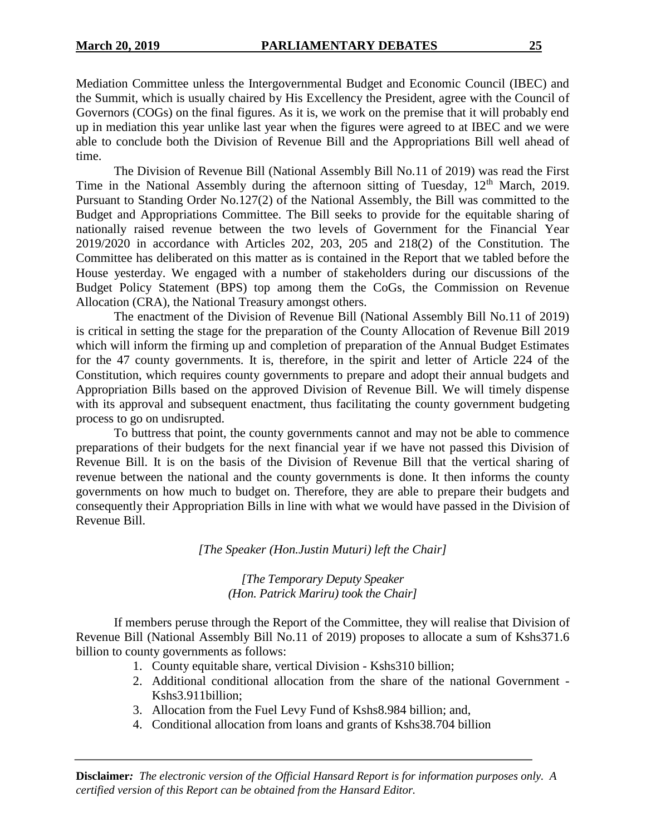Mediation Committee unless the Intergovernmental Budget and Economic Council (IBEC) and the Summit, which is usually chaired by His Excellency the President, agree with the Council of Governors (COGs) on the final figures. As it is, we work on the premise that it will probably end up in mediation this year unlike last year when the figures were agreed to at IBEC and we were able to conclude both the Division of Revenue Bill and the Appropriations Bill well ahead of time.

The Division of Revenue Bill (National Assembly Bill No.11 of 2019) was read the First Time in the National Assembly during the afternoon sitting of Tuesday,  $12<sup>th</sup>$  March, 2019. Pursuant to Standing Order No.127(2) of the National Assembly, the Bill was committed to the Budget and Appropriations Committee. The Bill seeks to provide for the equitable sharing of nationally raised revenue between the two levels of Government for the Financial Year 2019/2020 in accordance with Articles 202, 203, 205 and 218(2) of the Constitution. The Committee has deliberated on this matter as is contained in the Report that we tabled before the House yesterday. We engaged with a number of stakeholders during our discussions of the Budget Policy Statement (BPS) top among them the CoGs, the Commission on Revenue Allocation (CRA), the National Treasury amongst others.

The enactment of the Division of Revenue Bill (National Assembly Bill No.11 of 2019) is critical in setting the stage for the preparation of the County Allocation of Revenue Bill 2019 which will inform the firming up and completion of preparation of the Annual Budget Estimates for the 47 county governments. It is, therefore, in the spirit and letter of Article 224 of the Constitution, which requires county governments to prepare and adopt their annual budgets and Appropriation Bills based on the approved Division of Revenue Bill. We will timely dispense with its approval and subsequent enactment, thus facilitating the county government budgeting process to go on undisrupted.

To buttress that point, the county governments cannot and may not be able to commence preparations of their budgets for the next financial year if we have not passed this Division of Revenue Bill. It is on the basis of the Division of Revenue Bill that the vertical sharing of revenue between the national and the county governments is done. It then informs the county governments on how much to budget on. Therefore, they are able to prepare their budgets and consequently their Appropriation Bills in line with what we would have passed in the Division of Revenue Bill.

## *[The Speaker (Hon.Justin Muturi) left the Chair]*

## *[The Temporary Deputy Speaker (Hon. Patrick Mariru) took the Chair]*

If members peruse through the Report of the Committee, they will realise that Division of Revenue Bill (National Assembly Bill No.11 of 2019) proposes to allocate a sum of Kshs371.6 billion to county governments as follows:

- 1. County equitable share, vertical Division Kshs310 billion;
- 2. Additional conditional allocation from the share of the national Government Kshs3.911billion;
- 3. Allocation from the Fuel Levy Fund of Kshs8.984 billion; and,
- 4. Conditional allocation from loans and grants of Kshs38.704 billion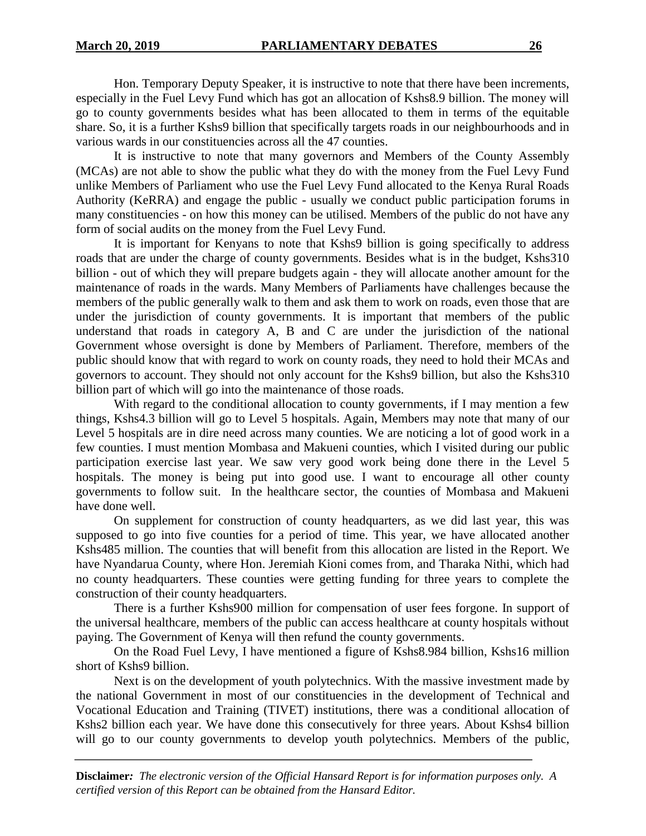Hon. Temporary Deputy Speaker, it is instructive to note that there have been increments, especially in the Fuel Levy Fund which has got an allocation of Kshs8.9 billion. The money will go to county governments besides what has been allocated to them in terms of the equitable share. So, it is a further Kshs9 billion that specifically targets roads in our neighbourhoods and in various wards in our constituencies across all the 47 counties.

It is instructive to note that many governors and Members of the County Assembly (MCAs) are not able to show the public what they do with the money from the Fuel Levy Fund unlike Members of Parliament who use the Fuel Levy Fund allocated to the Kenya Rural Roads Authority (KeRRA) and engage the public - usually we conduct public participation forums in many constituencies - on how this money can be utilised. Members of the public do not have any form of social audits on the money from the Fuel Levy Fund.

It is important for Kenyans to note that Kshs9 billion is going specifically to address roads that are under the charge of county governments. Besides what is in the budget, Kshs310 billion - out of which they will prepare budgets again - they will allocate another amount for the maintenance of roads in the wards. Many Members of Parliaments have challenges because the members of the public generally walk to them and ask them to work on roads, even those that are under the jurisdiction of county governments. It is important that members of the public understand that roads in category A, B and C are under the jurisdiction of the national Government whose oversight is done by Members of Parliament. Therefore, members of the public should know that with regard to work on county roads, they need to hold their MCAs and governors to account. They should not only account for the Kshs9 billion, but also the Kshs310 billion part of which will go into the maintenance of those roads.

With regard to the conditional allocation to county governments, if I may mention a few things, Kshs4.3 billion will go to Level 5 hospitals. Again, Members may note that many of our Level 5 hospitals are in dire need across many counties. We are noticing a lot of good work in a few counties. I must mention Mombasa and Makueni counties, which I visited during our public participation exercise last year. We saw very good work being done there in the Level 5 hospitals. The money is being put into good use. I want to encourage all other county governments to follow suit. In the healthcare sector, the counties of Mombasa and Makueni have done well.

On supplement for construction of county headquarters, as we did last year, this was supposed to go into five counties for a period of time. This year, we have allocated another Kshs485 million. The counties that will benefit from this allocation are listed in the Report. We have Nyandarua County, where Hon. Jeremiah Kioni comes from, and Tharaka Nithi, which had no county headquarters. These counties were getting funding for three years to complete the construction of their county headquarters.

There is a further Kshs900 million for compensation of user fees forgone. In support of the universal healthcare, members of the public can access healthcare at county hospitals without paying. The Government of Kenya will then refund the county governments.

On the Road Fuel Levy, I have mentioned a figure of Kshs8.984 billion, Kshs16 million short of Kshs9 billion.

Next is on the development of youth polytechnics. With the massive investment made by the national Government in most of our constituencies in the development of Technical and Vocational Education and Training (TIVET) institutions, there was a conditional allocation of Kshs2 billion each year. We have done this consecutively for three years. About Kshs4 billion will go to our county governments to develop youth polytechnics. Members of the public,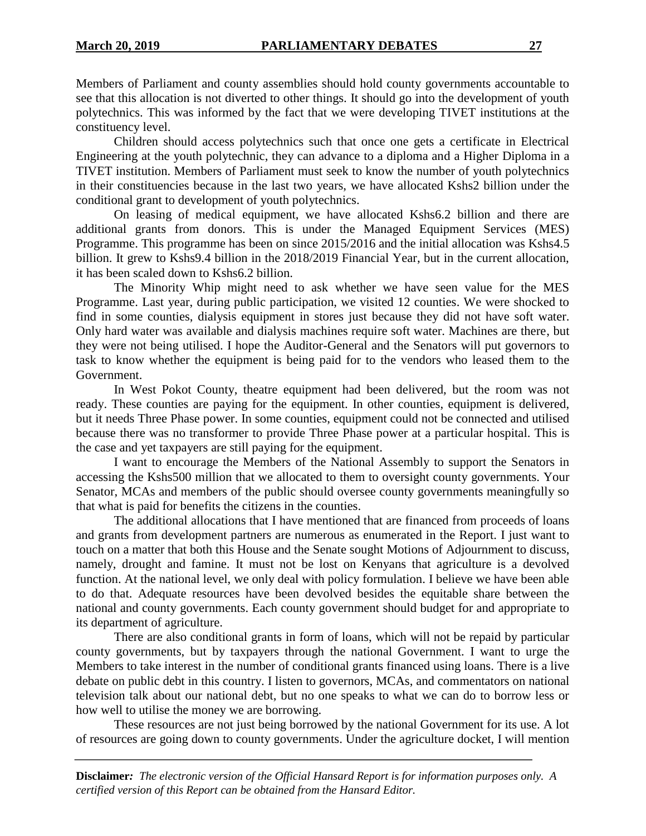Members of Parliament and county assemblies should hold county governments accountable to see that this allocation is not diverted to other things. It should go into the development of youth polytechnics. This was informed by the fact that we were developing TIVET institutions at the constituency level.

Children should access polytechnics such that once one gets a certificate in Electrical Engineering at the youth polytechnic, they can advance to a diploma and a Higher Diploma in a TIVET institution. Members of Parliament must seek to know the number of youth polytechnics in their constituencies because in the last two years, we have allocated Kshs2 billion under the conditional grant to development of youth polytechnics.

On leasing of medical equipment, we have allocated Kshs6.2 billion and there are additional grants from donors. This is under the Managed Equipment Services (MES) Programme. This programme has been on since 2015/2016 and the initial allocation was Kshs4.5 billion. It grew to Kshs9.4 billion in the 2018/2019 Financial Year, but in the current allocation, it has been scaled down to Kshs6.2 billion.

The Minority Whip might need to ask whether we have seen value for the MES Programme. Last year, during public participation, we visited 12 counties. We were shocked to find in some counties, dialysis equipment in stores just because they did not have soft water. Only hard water was available and dialysis machines require soft water. Machines are there, but they were not being utilised. I hope the Auditor-General and the Senators will put governors to task to know whether the equipment is being paid for to the vendors who leased them to the Government.

In West Pokot County, theatre equipment had been delivered, but the room was not ready. These counties are paying for the equipment. In other counties, equipment is delivered, but it needs Three Phase power. In some counties, equipment could not be connected and utilised because there was no transformer to provide Three Phase power at a particular hospital. This is the case and yet taxpayers are still paying for the equipment.

I want to encourage the Members of the National Assembly to support the Senators in accessing the Kshs500 million that we allocated to them to oversight county governments. Your Senator, MCAs and members of the public should oversee county governments meaningfully so that what is paid for benefits the citizens in the counties.

The additional allocations that I have mentioned that are financed from proceeds of loans and grants from development partners are numerous as enumerated in the Report. I just want to touch on a matter that both this House and the Senate sought Motions of Adjournment to discuss, namely, drought and famine. It must not be lost on Kenyans that agriculture is a devolved function. At the national level, we only deal with policy formulation. I believe we have been able to do that. Adequate resources have been devolved besides the equitable share between the national and county governments. Each county government should budget for and appropriate to its department of agriculture.

There are also conditional grants in form of loans, which will not be repaid by particular county governments, but by taxpayers through the national Government. I want to urge the Members to take interest in the number of conditional grants financed using loans. There is a live debate on public debt in this country. I listen to governors, MCAs, and commentators on national television talk about our national debt, but no one speaks to what we can do to borrow less or how well to utilise the money we are borrowing.

These resources are not just being borrowed by the national Government for its use. A lot of resources are going down to county governments. Under the agriculture docket, I will mention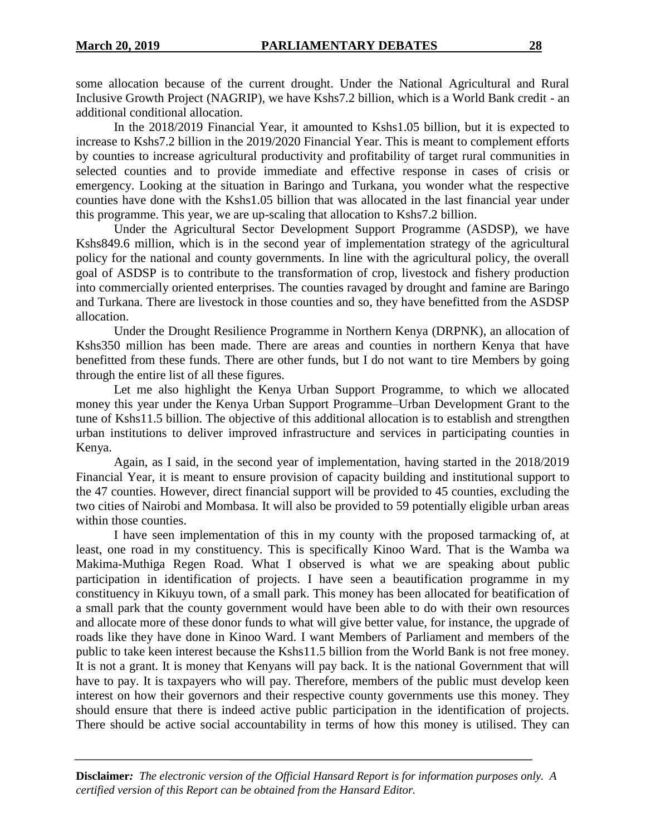some allocation because of the current drought. Under the National Agricultural and Rural Inclusive Growth Project (NAGRIP), we have Kshs7.2 billion, which is a World Bank credit - an additional conditional allocation.

In the 2018/2019 Financial Year, it amounted to Kshs1.05 billion, but it is expected to increase to Kshs7.2 billion in the 2019/2020 Financial Year. This is meant to complement efforts by counties to increase agricultural productivity and profitability of target rural communities in selected counties and to provide immediate and effective response in cases of crisis or emergency. Looking at the situation in Baringo and Turkana, you wonder what the respective counties have done with the Kshs1.05 billion that was allocated in the last financial year under this programme. This year, we are up-scaling that allocation to Kshs7.2 billion.

Under the Agricultural Sector Development Support Programme (ASDSP), we have Kshs849.6 million, which is in the second year of implementation strategy of the agricultural policy for the national and county governments. In line with the agricultural policy, the overall goal of ASDSP is to contribute to the transformation of crop, livestock and fishery production into commercially oriented enterprises. The counties ravaged by drought and famine are Baringo and Turkana. There are livestock in those counties and so, they have benefitted from the ASDSP allocation.

Under the Drought Resilience Programme in Northern Kenya (DRPNK), an allocation of Kshs350 million has been made. There are areas and counties in northern Kenya that have benefitted from these funds. There are other funds, but I do not want to tire Members by going through the entire list of all these figures.

Let me also highlight the Kenya Urban Support Programme, to which we allocated money this year under the Kenya Urban Support Programme–Urban Development Grant to the tune of Kshs11.5 billion. The objective of this additional allocation is to establish and strengthen urban institutions to deliver improved infrastructure and services in participating counties in Kenya.

Again, as I said, in the second year of implementation, having started in the 2018/2019 Financial Year, it is meant to ensure provision of capacity building and institutional support to the 47 counties. However, direct financial support will be provided to 45 counties, excluding the two cities of Nairobi and Mombasa. It will also be provided to 59 potentially eligible urban areas within those counties.

I have seen implementation of this in my county with the proposed tarmacking of, at least, one road in my constituency. This is specifically Kinoo Ward. That is the Wamba wa Makima-Muthiga Regen Road. What I observed is what we are speaking about public participation in identification of projects. I have seen a beautification programme in my constituency in Kikuyu town, of a small park. This money has been allocated for beatification of a small park that the county government would have been able to do with their own resources and allocate more of these donor funds to what will give better value, for instance, the upgrade of roads like they have done in Kinoo Ward. I want Members of Parliament and members of the public to take keen interest because the Kshs11.5 billion from the World Bank is not free money. It is not a grant. It is money that Kenyans will pay back. It is the national Government that will have to pay. It is taxpayers who will pay. Therefore, members of the public must develop keen interest on how their governors and their respective county governments use this money. They should ensure that there is indeed active public participation in the identification of projects. There should be active social accountability in terms of how this money is utilised. They can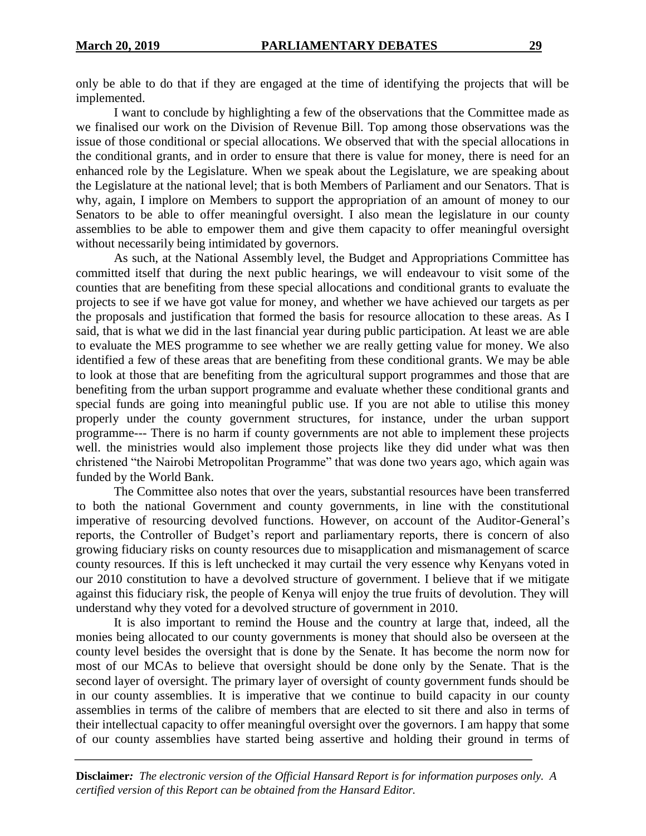only be able to do that if they are engaged at the time of identifying the projects that will be implemented.

I want to conclude by highlighting a few of the observations that the Committee made as we finalised our work on the Division of Revenue Bill. Top among those observations was the issue of those conditional or special allocations. We observed that with the special allocations in the conditional grants, and in order to ensure that there is value for money, there is need for an enhanced role by the Legislature. When we speak about the Legislature, we are speaking about the Legislature at the national level; that is both Members of Parliament and our Senators. That is why, again, I implore on Members to support the appropriation of an amount of money to our Senators to be able to offer meaningful oversight. I also mean the legislature in our county assemblies to be able to empower them and give them capacity to offer meaningful oversight without necessarily being intimidated by governors.

As such, at the National Assembly level, the Budget and Appropriations Committee has committed itself that during the next public hearings, we will endeavour to visit some of the counties that are benefiting from these special allocations and conditional grants to evaluate the projects to see if we have got value for money, and whether we have achieved our targets as per the proposals and justification that formed the basis for resource allocation to these areas. As I said, that is what we did in the last financial year during public participation. At least we are able to evaluate the MES programme to see whether we are really getting value for money. We also identified a few of these areas that are benefiting from these conditional grants. We may be able to look at those that are benefiting from the agricultural support programmes and those that are benefiting from the urban support programme and evaluate whether these conditional grants and special funds are going into meaningful public use. If you are not able to utilise this money properly under the county government structures, for instance, under the urban support programme--- There is no harm if county governments are not able to implement these projects well. the ministries would also implement those projects like they did under what was then christened "the Nairobi Metropolitan Programme" that was done two years ago, which again was funded by the World Bank.

The Committee also notes that over the years, substantial resources have been transferred to both the national Government and county governments, in line with the constitutional imperative of resourcing devolved functions. However, on account of the Auditor-General's reports, the Controller of Budget's report and parliamentary reports, there is concern of also growing fiduciary risks on county resources due to misapplication and mismanagement of scarce county resources. If this is left unchecked it may curtail the very essence why Kenyans voted in our 2010 constitution to have a devolved structure of government. I believe that if we mitigate against this fiduciary risk, the people of Kenya will enjoy the true fruits of devolution. They will understand why they voted for a devolved structure of government in 2010.

It is also important to remind the House and the country at large that, indeed, all the monies being allocated to our county governments is money that should also be overseen at the county level besides the oversight that is done by the Senate. It has become the norm now for most of our MCAs to believe that oversight should be done only by the Senate. That is the second layer of oversight. The primary layer of oversight of county government funds should be in our county assemblies. It is imperative that we continue to build capacity in our county assemblies in terms of the calibre of members that are elected to sit there and also in terms of their intellectual capacity to offer meaningful oversight over the governors. I am happy that some of our county assemblies have started being assertive and holding their ground in terms of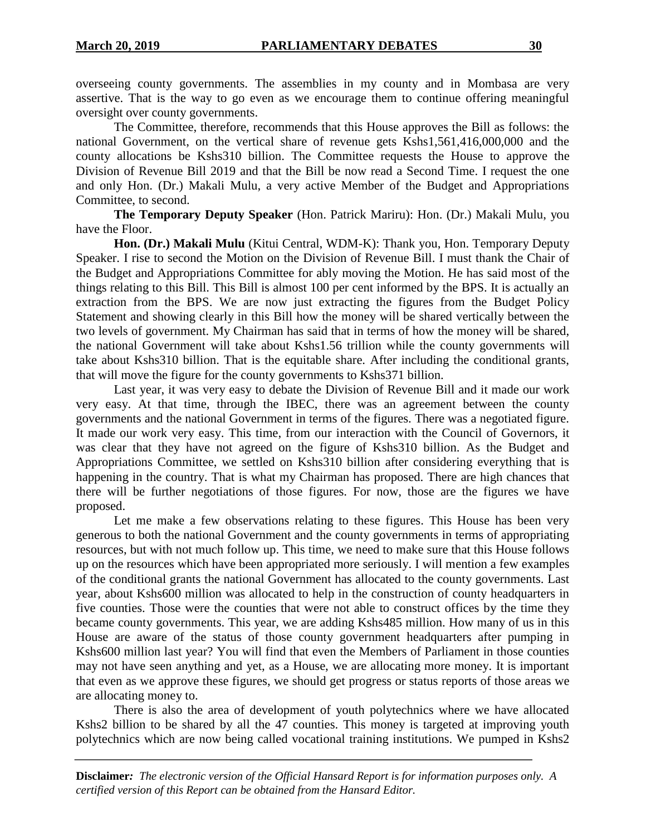overseeing county governments. The assemblies in my county and in Mombasa are very assertive. That is the way to go even as we encourage them to continue offering meaningful oversight over county governments.

The Committee, therefore, recommends that this House approves the Bill as follows: the national Government, on the vertical share of revenue gets Kshs1,561,416,000,000 and the county allocations be Kshs310 billion. The Committee requests the House to approve the Division of Revenue Bill 2019 and that the Bill be now read a Second Time. I request the one and only Hon. (Dr.) Makali Mulu, a very active Member of the Budget and Appropriations Committee, to second.

**The Temporary Deputy Speaker** (Hon. Patrick Mariru): Hon. (Dr.) Makali Mulu, you have the Floor.

**Hon. (Dr.) Makali Mulu** (Kitui Central, WDM-K): Thank you, Hon. Temporary Deputy Speaker. I rise to second the Motion on the Division of Revenue Bill. I must thank the Chair of the Budget and Appropriations Committee for ably moving the Motion. He has said most of the things relating to this Bill. This Bill is almost 100 per cent informed by the BPS. It is actually an extraction from the BPS. We are now just extracting the figures from the Budget Policy Statement and showing clearly in this Bill how the money will be shared vertically between the two levels of government. My Chairman has said that in terms of how the money will be shared, the national Government will take about Kshs1.56 trillion while the county governments will take about Kshs310 billion. That is the equitable share. After including the conditional grants, that will move the figure for the county governments to Kshs371 billion.

Last year, it was very easy to debate the Division of Revenue Bill and it made our work very easy. At that time, through the IBEC, there was an agreement between the county governments and the national Government in terms of the figures. There was a negotiated figure. It made our work very easy. This time, from our interaction with the Council of Governors, it was clear that they have not agreed on the figure of Kshs310 billion. As the Budget and Appropriations Committee, we settled on Kshs310 billion after considering everything that is happening in the country. That is what my Chairman has proposed. There are high chances that there will be further negotiations of those figures. For now, those are the figures we have proposed.

Let me make a few observations relating to these figures. This House has been very generous to both the national Government and the county governments in terms of appropriating resources, but with not much follow up. This time, we need to make sure that this House follows up on the resources which have been appropriated more seriously. I will mention a few examples of the conditional grants the national Government has allocated to the county governments. Last year, about Kshs600 million was allocated to help in the construction of county headquarters in five counties. Those were the counties that were not able to construct offices by the time they became county governments. This year, we are adding Kshs485 million. How many of us in this House are aware of the status of those county government headquarters after pumping in Kshs600 million last year? You will find that even the Members of Parliament in those counties may not have seen anything and yet, as a House, we are allocating more money. It is important that even as we approve these figures, we should get progress or status reports of those areas we are allocating money to.

There is also the area of development of youth polytechnics where we have allocated Kshs2 billion to be shared by all the 47 counties. This money is targeted at improving youth polytechnics which are now being called vocational training institutions. We pumped in Kshs2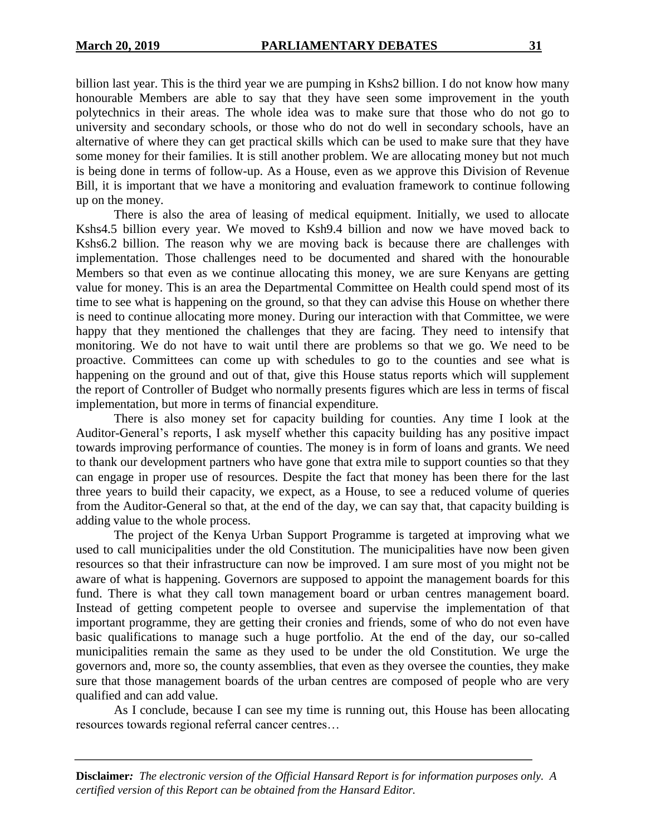billion last year. This is the third year we are pumping in Kshs2 billion. I do not know how many honourable Members are able to say that they have seen some improvement in the youth polytechnics in their areas. The whole idea was to make sure that those who do not go to university and secondary schools, or those who do not do well in secondary schools, have an alternative of where they can get practical skills which can be used to make sure that they have some money for their families. It is still another problem. We are allocating money but not much is being done in terms of follow-up. As a House, even as we approve this Division of Revenue Bill, it is important that we have a monitoring and evaluation framework to continue following up on the money.

There is also the area of leasing of medical equipment. Initially, we used to allocate Kshs4.5 billion every year. We moved to Ksh9.4 billion and now we have moved back to Kshs6.2 billion. The reason why we are moving back is because there are challenges with implementation. Those challenges need to be documented and shared with the honourable Members so that even as we continue allocating this money, we are sure Kenyans are getting value for money. This is an area the Departmental Committee on Health could spend most of its time to see what is happening on the ground, so that they can advise this House on whether there is need to continue allocating more money. During our interaction with that Committee, we were happy that they mentioned the challenges that they are facing. They need to intensify that monitoring. We do not have to wait until there are problems so that we go. We need to be proactive. Committees can come up with schedules to go to the counties and see what is happening on the ground and out of that, give this House status reports which will supplement the report of Controller of Budget who normally presents figures which are less in terms of fiscal implementation, but more in terms of financial expenditure.

There is also money set for capacity building for counties. Any time I look at the Auditor-General's reports, I ask myself whether this capacity building has any positive impact towards improving performance of counties. The money is in form of loans and grants. We need to thank our development partners who have gone that extra mile to support counties so that they can engage in proper use of resources. Despite the fact that money has been there for the last three years to build their capacity, we expect, as a House, to see a reduced volume of queries from the Auditor-General so that, at the end of the day, we can say that, that capacity building is adding value to the whole process.

The project of the Kenya Urban Support Programme is targeted at improving what we used to call municipalities under the old Constitution. The municipalities have now been given resources so that their infrastructure can now be improved. I am sure most of you might not be aware of what is happening. Governors are supposed to appoint the management boards for this fund. There is what they call town management board or urban centres management board. Instead of getting competent people to oversee and supervise the implementation of that important programme, they are getting their cronies and friends, some of who do not even have basic qualifications to manage such a huge portfolio. At the end of the day, our so-called municipalities remain the same as they used to be under the old Constitution. We urge the governors and, more so, the county assemblies, that even as they oversee the counties, they make sure that those management boards of the urban centres are composed of people who are very qualified and can add value.

As I conclude, because I can see my time is running out, this House has been allocating resources towards regional referral cancer centres…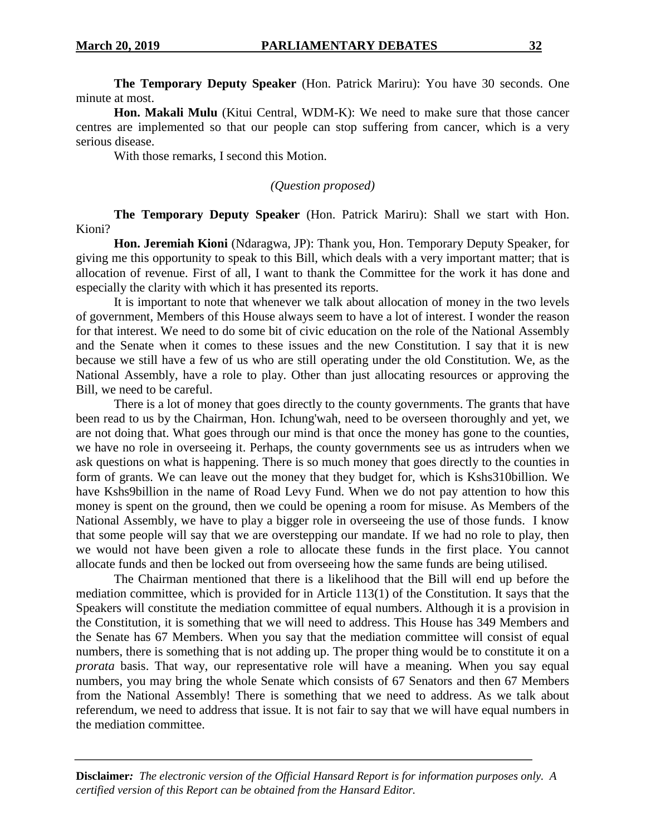**The Temporary Deputy Speaker** (Hon. Patrick Mariru): You have 30 seconds. One minute at most.

**Hon. Makali Mulu** (Kitui Central, WDM-K): We need to make sure that those cancer centres are implemented so that our people can stop suffering from cancer, which is a very serious disease.

With those remarks, I second this Motion.

*(Question proposed)*

**The Temporary Deputy Speaker** (Hon. Patrick Mariru): Shall we start with Hon. Kioni?

**Hon. Jeremiah Kioni** (Ndaragwa, JP): Thank you, Hon. Temporary Deputy Speaker, for giving me this opportunity to speak to this Bill, which deals with a very important matter; that is allocation of revenue. First of all, I want to thank the Committee for the work it has done and especially the clarity with which it has presented its reports.

It is important to note that whenever we talk about allocation of money in the two levels of government, Members of this House always seem to have a lot of interest. I wonder the reason for that interest. We need to do some bit of civic education on the role of the National Assembly and the Senate when it comes to these issues and the new Constitution. I say that it is new because we still have a few of us who are still operating under the old Constitution. We, as the National Assembly, have a role to play. Other than just allocating resources or approving the Bill, we need to be careful.

There is a lot of money that goes directly to the county governments. The grants that have been read to us by the Chairman, Hon. Ichung'wah, need to be overseen thoroughly and yet, we are not doing that. What goes through our mind is that once the money has gone to the counties, we have no role in overseeing it. Perhaps, the county governments see us as intruders when we ask questions on what is happening. There is so much money that goes directly to the counties in form of grants. We can leave out the money that they budget for, which is Kshs310billion. We have Kshs9billion in the name of Road Levy Fund. When we do not pay attention to how this money is spent on the ground, then we could be opening a room for misuse. As Members of the National Assembly, we have to play a bigger role in overseeing the use of those funds. I know that some people will say that we are overstepping our mandate. If we had no role to play, then we would not have been given a role to allocate these funds in the first place. You cannot allocate funds and then be locked out from overseeing how the same funds are being utilised.

The Chairman mentioned that there is a likelihood that the Bill will end up before the mediation committee, which is provided for in Article 113(1) of the Constitution. It says that the Speakers will constitute the mediation committee of equal numbers. Although it is a provision in the Constitution, it is something that we will need to address. This House has 349 Members and the Senate has 67 Members. When you say that the mediation committee will consist of equal numbers, there is something that is not adding up. The proper thing would be to constitute it on a *prorata* basis. That way, our representative role will have a meaning. When you say equal numbers, you may bring the whole Senate which consists of 67 Senators and then 67 Members from the National Assembly! There is something that we need to address. As we talk about referendum, we need to address that issue. It is not fair to say that we will have equal numbers in the mediation committee.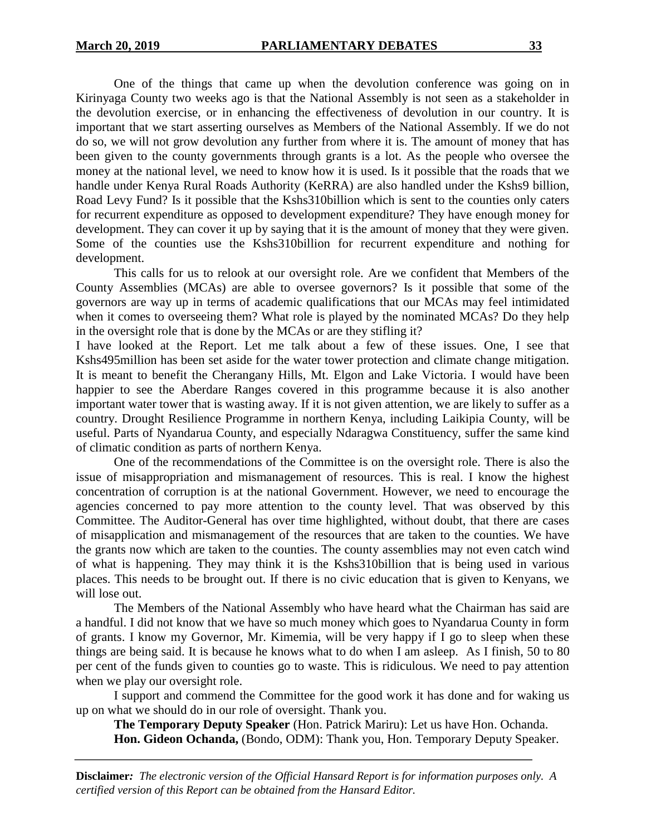One of the things that came up when the devolution conference was going on in Kirinyaga County two weeks ago is that the National Assembly is not seen as a stakeholder in the devolution exercise, or in enhancing the effectiveness of devolution in our country. It is important that we start asserting ourselves as Members of the National Assembly. If we do not do so, we will not grow devolution any further from where it is. The amount of money that has been given to the county governments through grants is a lot. As the people who oversee the money at the national level, we need to know how it is used. Is it possible that the roads that we handle under Kenya Rural Roads Authority (KeRRA) are also handled under the Kshs9 billion, Road Levy Fund? Is it possible that the Kshs310billion which is sent to the counties only caters for recurrent expenditure as opposed to development expenditure? They have enough money for development. They can cover it up by saying that it is the amount of money that they were given. Some of the counties use the Kshs310billion for recurrent expenditure and nothing for development.

This calls for us to relook at our oversight role. Are we confident that Members of the County Assemblies (MCAs) are able to oversee governors? Is it possible that some of the governors are way up in terms of academic qualifications that our MCAs may feel intimidated when it comes to overseeing them? What role is played by the nominated MCAs? Do they help in the oversight role that is done by the MCAs or are they stifling it?

I have looked at the Report. Let me talk about a few of these issues. One, I see that Kshs495million has been set aside for the water tower protection and climate change mitigation. It is meant to benefit the Cherangany Hills, Mt. Elgon and Lake Victoria. I would have been happier to see the Aberdare Ranges covered in this programme because it is also another important water tower that is wasting away. If it is not given attention, we are likely to suffer as a country. Drought Resilience Programme in northern Kenya, including Laikipia County, will be useful. Parts of Nyandarua County, and especially Ndaragwa Constituency, suffer the same kind of climatic condition as parts of northern Kenya.

One of the recommendations of the Committee is on the oversight role. There is also the issue of misappropriation and mismanagement of resources. This is real. I know the highest concentration of corruption is at the national Government. However, we need to encourage the agencies concerned to pay more attention to the county level. That was observed by this Committee. The Auditor-General has over time highlighted, without doubt, that there are cases of misapplication and mismanagement of the resources that are taken to the counties. We have the grants now which are taken to the counties. The county assemblies may not even catch wind of what is happening. They may think it is the Kshs310billion that is being used in various places. This needs to be brought out. If there is no civic education that is given to Kenyans, we will lose out.

The Members of the National Assembly who have heard what the Chairman has said are a handful. I did not know that we have so much money which goes to Nyandarua County in form of grants. I know my Governor, Mr. Kimemia, will be very happy if I go to sleep when these things are being said. It is because he knows what to do when I am asleep. As I finish, 50 to 80 per cent of the funds given to counties go to waste. This is ridiculous. We need to pay attention when we play our oversight role.

I support and commend the Committee for the good work it has done and for waking us up on what we should do in our role of oversight. Thank you.

**The Temporary Deputy Speaker** (Hon. Patrick Mariru): Let us have Hon. Ochanda. **Hon. Gideon Ochanda,** (Bondo, ODM): Thank you, Hon. Temporary Deputy Speaker.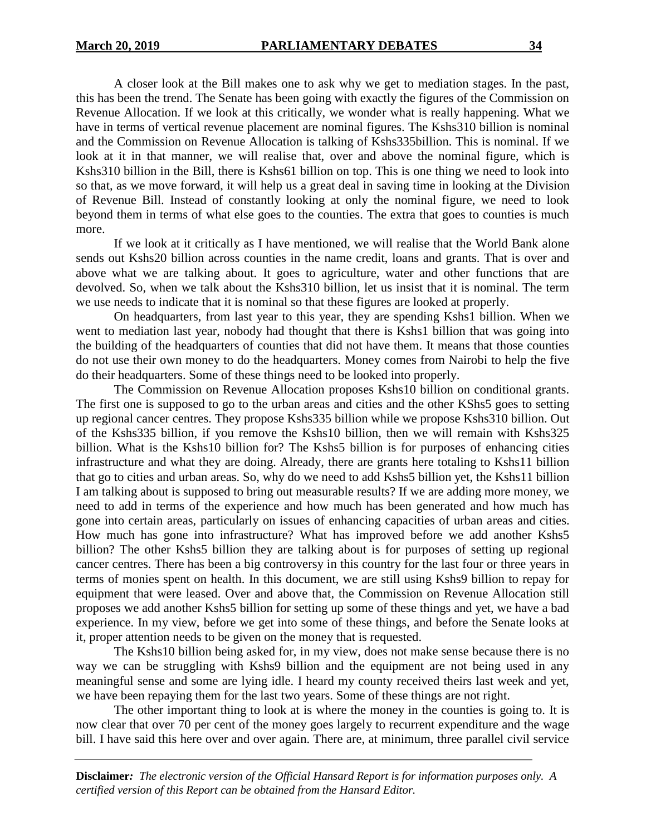A closer look at the Bill makes one to ask why we get to mediation stages. In the past, this has been the trend. The Senate has been going with exactly the figures of the Commission on Revenue Allocation. If we look at this critically, we wonder what is really happening. What we have in terms of vertical revenue placement are nominal figures. The Kshs310 billion is nominal and the Commission on Revenue Allocation is talking of Kshs335billion. This is nominal. If we look at it in that manner, we will realise that, over and above the nominal figure, which is Kshs310 billion in the Bill, there is Kshs61 billion on top. This is one thing we need to look into so that, as we move forward, it will help us a great deal in saving time in looking at the Division of Revenue Bill. Instead of constantly looking at only the nominal figure, we need to look beyond them in terms of what else goes to the counties. The extra that goes to counties is much more.

If we look at it critically as I have mentioned, we will realise that the World Bank alone sends out Kshs20 billion across counties in the name credit, loans and grants. That is over and above what we are talking about. It goes to agriculture, water and other functions that are devolved. So, when we talk about the Kshs310 billion, let us insist that it is nominal. The term we use needs to indicate that it is nominal so that these figures are looked at properly.

On headquarters, from last year to this year, they are spending Kshs1 billion. When we went to mediation last year, nobody had thought that there is Kshs1 billion that was going into the building of the headquarters of counties that did not have them. It means that those counties do not use their own money to do the headquarters. Money comes from Nairobi to help the five do their headquarters. Some of these things need to be looked into properly.

The Commission on Revenue Allocation proposes Kshs10 billion on conditional grants. The first one is supposed to go to the urban areas and cities and the other KShs5 goes to setting up regional cancer centres. They propose Kshs335 billion while we propose Kshs310 billion. Out of the Kshs335 billion, if you remove the Kshs10 billion, then we will remain with Kshs325 billion. What is the Kshs10 billion for? The Kshs5 billion is for purposes of enhancing cities infrastructure and what they are doing. Already, there are grants here totaling to Kshs11 billion that go to cities and urban areas. So, why do we need to add Kshs5 billion yet, the Kshs11 billion I am talking about is supposed to bring out measurable results? If we are adding more money, we need to add in terms of the experience and how much has been generated and how much has gone into certain areas, particularly on issues of enhancing capacities of urban areas and cities. How much has gone into infrastructure? What has improved before we add another Kshs5 billion? The other Kshs5 billion they are talking about is for purposes of setting up regional cancer centres. There has been a big controversy in this country for the last four or three years in terms of monies spent on health. In this document, we are still using Kshs9 billion to repay for equipment that were leased. Over and above that, the Commission on Revenue Allocation still proposes we add another Kshs5 billion for setting up some of these things and yet, we have a bad experience. In my view, before we get into some of these things, and before the Senate looks at it, proper attention needs to be given on the money that is requested.

The Kshs10 billion being asked for, in my view, does not make sense because there is no way we can be struggling with Kshs9 billion and the equipment are not being used in any meaningful sense and some are lying idle. I heard my county received theirs last week and yet, we have been repaying them for the last two years. Some of these things are not right.

The other important thing to look at is where the money in the counties is going to. It is now clear that over 70 per cent of the money goes largely to recurrent expenditure and the wage bill. I have said this here over and over again. There are, at minimum, three parallel civil service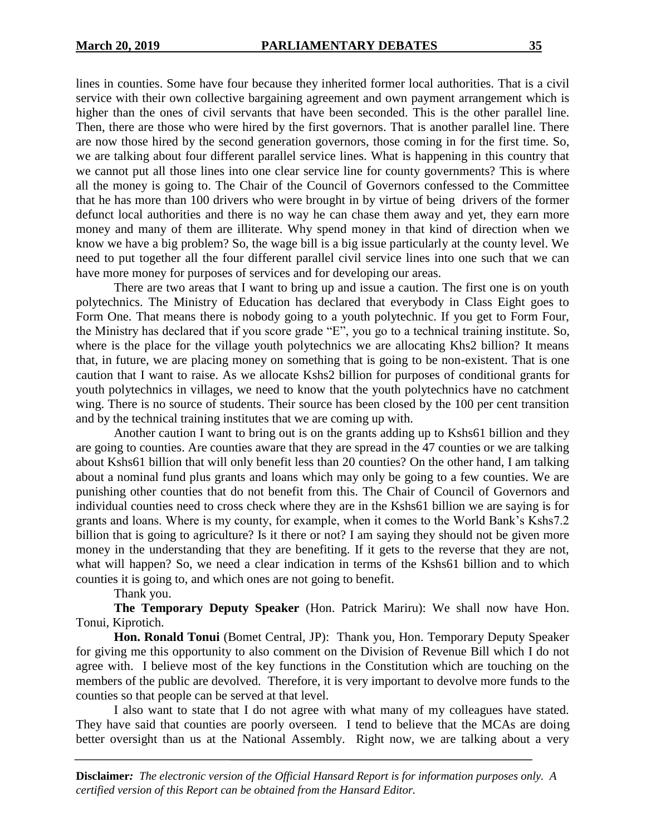lines in counties. Some have four because they inherited former local authorities. That is a civil service with their own collective bargaining agreement and own payment arrangement which is higher than the ones of civil servants that have been seconded. This is the other parallel line. Then, there are those who were hired by the first governors. That is another parallel line. There are now those hired by the second generation governors, those coming in for the first time. So, we are talking about four different parallel service lines. What is happening in this country that we cannot put all those lines into one clear service line for county governments? This is where all the money is going to. The Chair of the Council of Governors confessed to the Committee that he has more than 100 drivers who were brought in by virtue of being drivers of the former defunct local authorities and there is no way he can chase them away and yet, they earn more money and many of them are illiterate. Why spend money in that kind of direction when we know we have a big problem? So, the wage bill is a big issue particularly at the county level. We need to put together all the four different parallel civil service lines into one such that we can have more money for purposes of services and for developing our areas.

There are two areas that I want to bring up and issue a caution. The first one is on youth polytechnics. The Ministry of Education has declared that everybody in Class Eight goes to Form One. That means there is nobody going to a youth polytechnic. If you get to Form Four, the Ministry has declared that if you score grade "E", you go to a technical training institute. So, where is the place for the village youth polytechnics we are allocating Khs2 billion? It means that, in future, we are placing money on something that is going to be non-existent. That is one caution that I want to raise. As we allocate Kshs2 billion for purposes of conditional grants for youth polytechnics in villages, we need to know that the youth polytechnics have no catchment wing. There is no source of students. Their source has been closed by the 100 per cent transition and by the technical training institutes that we are coming up with.

Another caution I want to bring out is on the grants adding up to Kshs61 billion and they are going to counties. Are counties aware that they are spread in the 47 counties or we are talking about Kshs61 billion that will only benefit less than 20 counties? On the other hand, I am talking about a nominal fund plus grants and loans which may only be going to a few counties. We are punishing other counties that do not benefit from this. The Chair of Council of Governors and individual counties need to cross check where they are in the Kshs61 billion we are saying is for grants and loans. Where is my county, for example, when it comes to the World Bank's Kshs7.2 billion that is going to agriculture? Is it there or not? I am saying they should not be given more money in the understanding that they are benefiting. If it gets to the reverse that they are not, what will happen? So, we need a clear indication in terms of the Kshs61 billion and to which counties it is going to, and which ones are not going to benefit.

Thank you.

**The Temporary Deputy Speaker** (Hon. Patrick Mariru): We shall now have Hon. Tonui, Kiprotich.

**Hon. Ronald Tonui** (Bomet Central, JP): Thank you, Hon. Temporary Deputy Speaker for giving me this opportunity to also comment on the Division of Revenue Bill which I do not agree with. I believe most of the key functions in the Constitution which are touching on the members of the public are devolved. Therefore, it is very important to devolve more funds to the counties so that people can be served at that level.

I also want to state that I do not agree with what many of my colleagues have stated. They have said that counties are poorly overseen. I tend to believe that the MCAs are doing better oversight than us at the National Assembly. Right now, we are talking about a very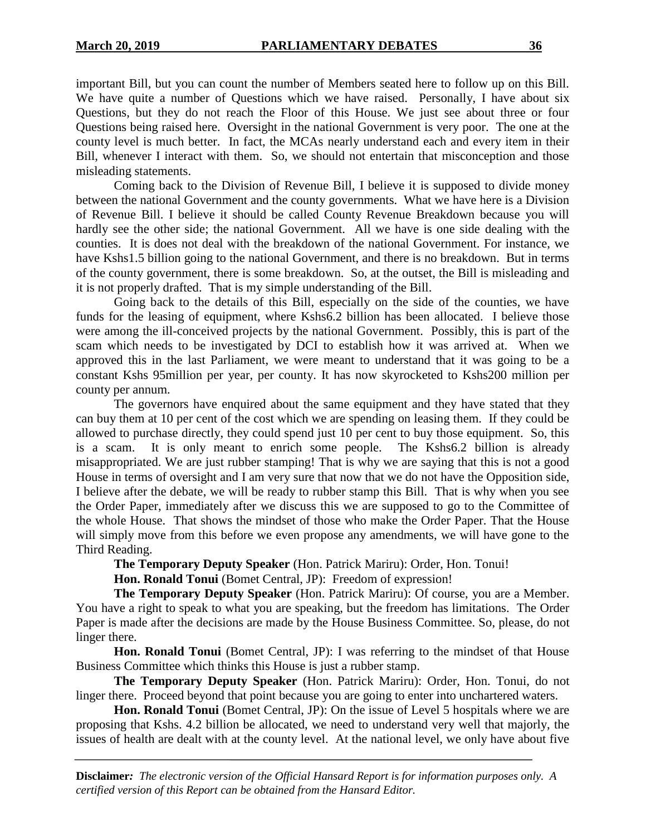important Bill, but you can count the number of Members seated here to follow up on this Bill. We have quite a number of Questions which we have raised. Personally, I have about six Questions, but they do not reach the Floor of this House. We just see about three or four Questions being raised here. Oversight in the national Government is very poor. The one at the county level is much better. In fact, the MCAs nearly understand each and every item in their Bill, whenever I interact with them. So, we should not entertain that misconception and those misleading statements.

Coming back to the Division of Revenue Bill, I believe it is supposed to divide money between the national Government and the county governments. What we have here is a Division of Revenue Bill. I believe it should be called County Revenue Breakdown because you will hardly see the other side; the national Government. All we have is one side dealing with the counties. It is does not deal with the breakdown of the national Government. For instance, we have Kshs1.5 billion going to the national Government, and there is no breakdown. But in terms of the county government, there is some breakdown. So, at the outset, the Bill is misleading and it is not properly drafted. That is my simple understanding of the Bill.

Going back to the details of this Bill, especially on the side of the counties, we have funds for the leasing of equipment, where Kshs6.2 billion has been allocated. I believe those were among the ill-conceived projects by the national Government. Possibly, this is part of the scam which needs to be investigated by DCI to establish how it was arrived at. When we approved this in the last Parliament, we were meant to understand that it was going to be a constant Kshs 95million per year, per county. It has now skyrocketed to Kshs200 million per county per annum.

The governors have enquired about the same equipment and they have stated that they can buy them at 10 per cent of the cost which we are spending on leasing them. If they could be allowed to purchase directly, they could spend just 10 per cent to buy those equipment. So, this is a scam. It is only meant to enrich some people. The Kshs6.2 billion is already misappropriated. We are just rubber stamping! That is why we are saying that this is not a good House in terms of oversight and I am very sure that now that we do not have the Opposition side, I believe after the debate, we will be ready to rubber stamp this Bill. That is why when you see the Order Paper, immediately after we discuss this we are supposed to go to the Committee of the whole House. That shows the mindset of those who make the Order Paper. That the House will simply move from this before we even propose any amendments, we will have gone to the Third Reading.

**The Temporary Deputy Speaker** (Hon. Patrick Mariru): Order, Hon. Tonui!

**Hon. Ronald Tonui** (Bomet Central, JP): Freedom of expression!

**The Temporary Deputy Speaker** (Hon. Patrick Mariru): Of course, you are a Member. You have a right to speak to what you are speaking, but the freedom has limitations. The Order Paper is made after the decisions are made by the House Business Committee. So, please, do not linger there.

**Hon. Ronald Tonui** (Bomet Central, JP): I was referring to the mindset of that House Business Committee which thinks this House is just a rubber stamp.

**The Temporary Deputy Speaker** (Hon. Patrick Mariru): Order, Hon. Tonui, do not linger there. Proceed beyond that point because you are going to enter into unchartered waters.

**Hon. Ronald Tonui** (Bomet Central, JP): On the issue of Level 5 hospitals where we are proposing that Kshs. 4.2 billion be allocated, we need to understand very well that majorly, the issues of health are dealt with at the county level. At the national level, we only have about five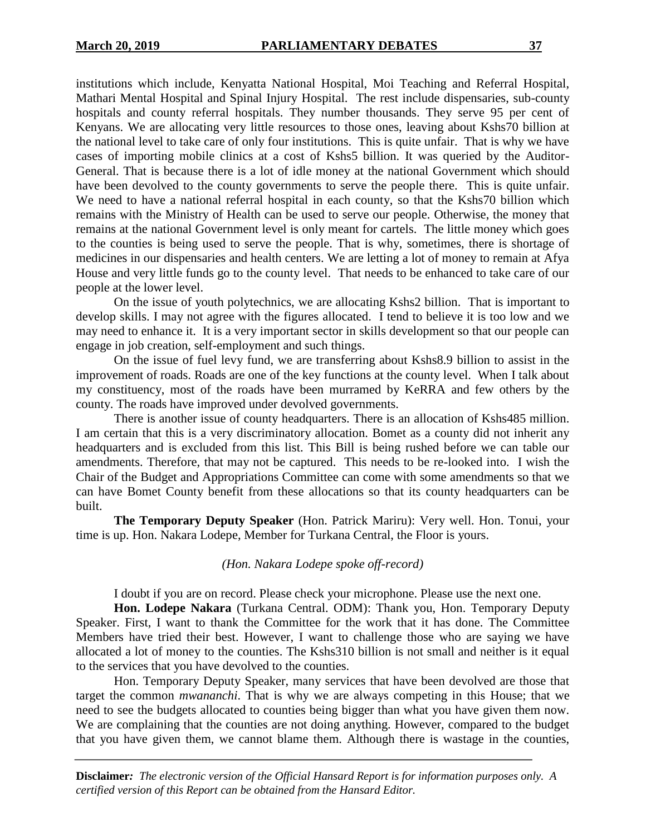institutions which include, Kenyatta National Hospital, Moi Teaching and Referral Hospital, Mathari Mental Hospital and Spinal Injury Hospital. The rest include dispensaries, sub-county hospitals and county referral hospitals. They number thousands. They serve 95 per cent of Kenyans. We are allocating very little resources to those ones, leaving about Kshs70 billion at the national level to take care of only four institutions. This is quite unfair. That is why we have cases of importing mobile clinics at a cost of Kshs5 billion. It was queried by the Auditor-General. That is because there is a lot of idle money at the national Government which should have been devolved to the county governments to serve the people there. This is quite unfair. We need to have a national referral hospital in each county, so that the Kshs70 billion which remains with the Ministry of Health can be used to serve our people. Otherwise, the money that remains at the national Government level is only meant for cartels. The little money which goes to the counties is being used to serve the people. That is why, sometimes, there is shortage of medicines in our dispensaries and health centers. We are letting a lot of money to remain at Afya House and very little funds go to the county level. That needs to be enhanced to take care of our people at the lower level.

On the issue of youth polytechnics, we are allocating Kshs2 billion. That is important to develop skills. I may not agree with the figures allocated. I tend to believe it is too low and we may need to enhance it. It is a very important sector in skills development so that our people can engage in job creation, self-employment and such things.

On the issue of fuel levy fund, we are transferring about Kshs8.9 billion to assist in the improvement of roads. Roads are one of the key functions at the county level. When I talk about my constituency, most of the roads have been murramed by KeRRA and few others by the county. The roads have improved under devolved governments.

There is another issue of county headquarters. There is an allocation of Kshs485 million. I am certain that this is a very discriminatory allocation. Bomet as a county did not inherit any headquarters and is excluded from this list. This Bill is being rushed before we can table our amendments. Therefore, that may not be captured. This needs to be re-looked into. I wish the Chair of the Budget and Appropriations Committee can come with some amendments so that we can have Bomet County benefit from these allocations so that its county headquarters can be built.

**The Temporary Deputy Speaker** (Hon. Patrick Mariru): Very well. Hon. Tonui, your time is up. Hon. Nakara Lodepe, Member for Turkana Central, the Floor is yours.

## *(Hon. Nakara Lodepe spoke off-record)*

I doubt if you are on record. Please check your microphone. Please use the next one.

**Hon. Lodepe Nakara** (Turkana Central. ODM): Thank you, Hon. Temporary Deputy Speaker. First, I want to thank the Committee for the work that it has done. The Committee Members have tried their best. However, I want to challenge those who are saying we have allocated a lot of money to the counties. The Kshs310 billion is not small and neither is it equal to the services that you have devolved to the counties.

Hon. Temporary Deputy Speaker, many services that have been devolved are those that target the common *mwananchi*. That is why we are always competing in this House; that we need to see the budgets allocated to counties being bigger than what you have given them now. We are complaining that the counties are not doing anything. However, compared to the budget that you have given them, we cannot blame them. Although there is wastage in the counties,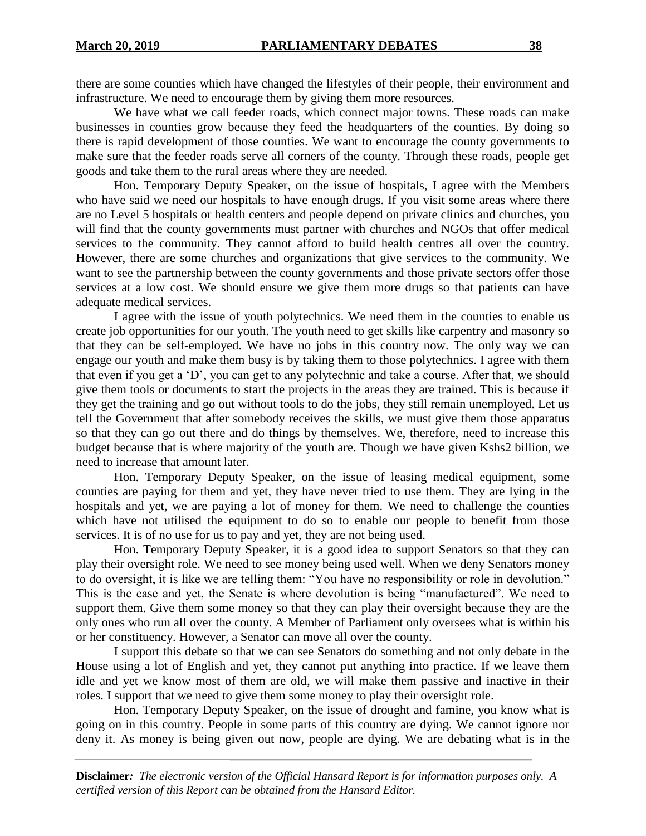there are some counties which have changed the lifestyles of their people, their environment and infrastructure. We need to encourage them by giving them more resources.

We have what we call feeder roads, which connect major towns. These roads can make businesses in counties grow because they feed the headquarters of the counties. By doing so there is rapid development of those counties. We want to encourage the county governments to make sure that the feeder roads serve all corners of the county. Through these roads, people get goods and take them to the rural areas where they are needed.

Hon. Temporary Deputy Speaker, on the issue of hospitals, I agree with the Members who have said we need our hospitals to have enough drugs. If you visit some areas where there are no Level 5 hospitals or health centers and people depend on private clinics and churches, you will find that the county governments must partner with churches and NGOs that offer medical services to the community. They cannot afford to build health centres all over the country. However, there are some churches and organizations that give services to the community. We want to see the partnership between the county governments and those private sectors offer those services at a low cost. We should ensure we give them more drugs so that patients can have adequate medical services.

I agree with the issue of youth polytechnics. We need them in the counties to enable us create job opportunities for our youth. The youth need to get skills like carpentry and masonry so that they can be self-employed. We have no jobs in this country now. The only way we can engage our youth and make them busy is by taking them to those polytechnics. I agree with them that even if you get a 'D', you can get to any polytechnic and take a course. After that, we should give them tools or documents to start the projects in the areas they are trained. This is because if they get the training and go out without tools to do the jobs, they still remain unemployed. Let us tell the Government that after somebody receives the skills, we must give them those apparatus so that they can go out there and do things by themselves. We, therefore, need to increase this budget because that is where majority of the youth are. Though we have given Kshs2 billion, we need to increase that amount later.

Hon. Temporary Deputy Speaker, on the issue of leasing medical equipment, some counties are paying for them and yet, they have never tried to use them. They are lying in the hospitals and yet, we are paying a lot of money for them. We need to challenge the counties which have not utilised the equipment to do so to enable our people to benefit from those services. It is of no use for us to pay and yet, they are not being used.

Hon. Temporary Deputy Speaker, it is a good idea to support Senators so that they can play their oversight role. We need to see money being used well. When we deny Senators money to do oversight, it is like we are telling them: "You have no responsibility or role in devolution." This is the case and yet, the Senate is where devolution is being "manufactured". We need to support them. Give them some money so that they can play their oversight because they are the only ones who run all over the county. A Member of Parliament only oversees what is within his or her constituency. However, a Senator can move all over the county.

I support this debate so that we can see Senators do something and not only debate in the House using a lot of English and yet, they cannot put anything into practice. If we leave them idle and yet we know most of them are old, we will make them passive and inactive in their roles. I support that we need to give them some money to play their oversight role.

Hon. Temporary Deputy Speaker, on the issue of drought and famine, you know what is going on in this country. People in some parts of this country are dying. We cannot ignore nor deny it. As money is being given out now, people are dying. We are debating what is in the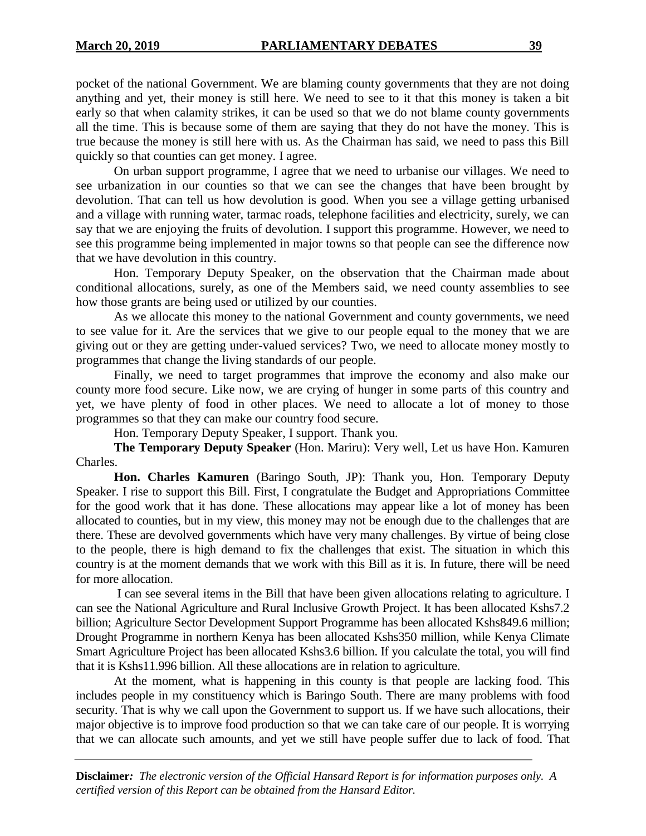pocket of the national Government. We are blaming county governments that they are not doing anything and yet, their money is still here. We need to see to it that this money is taken a bit early so that when calamity strikes, it can be used so that we do not blame county governments all the time. This is because some of them are saying that they do not have the money. This is true because the money is still here with us. As the Chairman has said, we need to pass this Bill quickly so that counties can get money. I agree.

On urban support programme, I agree that we need to urbanise our villages. We need to see urbanization in our counties so that we can see the changes that have been brought by devolution. That can tell us how devolution is good. When you see a village getting urbanised and a village with running water, tarmac roads, telephone facilities and electricity, surely, we can say that we are enjoying the fruits of devolution. I support this programme. However, we need to see this programme being implemented in major towns so that people can see the difference now that we have devolution in this country.

Hon. Temporary Deputy Speaker, on the observation that the Chairman made about conditional allocations, surely, as one of the Members said, we need county assemblies to see how those grants are being used or utilized by our counties.

As we allocate this money to the national Government and county governments, we need to see value for it. Are the services that we give to our people equal to the money that we are giving out or they are getting under-valued services? Two, we need to allocate money mostly to programmes that change the living standards of our people.

Finally, we need to target programmes that improve the economy and also make our county more food secure. Like now, we are crying of hunger in some parts of this country and yet, we have plenty of food in other places. We need to allocate a lot of money to those programmes so that they can make our country food secure.

Hon. Temporary Deputy Speaker, I support. Thank you.

**The Temporary Deputy Speaker** (Hon. Mariru): Very well, Let us have Hon. Kamuren Charles.

**Hon. Charles Kamuren** (Baringo South, JP): Thank you, Hon. Temporary Deputy Speaker. I rise to support this Bill. First, I congratulate the Budget and Appropriations Committee for the good work that it has done. These allocations may appear like a lot of money has been allocated to counties, but in my view, this money may not be enough due to the challenges that are there. These are devolved governments which have very many challenges. By virtue of being close to the people, there is high demand to fix the challenges that exist. The situation in which this country is at the moment demands that we work with this Bill as it is. In future, there will be need for more allocation.

I can see several items in the Bill that have been given allocations relating to agriculture. I can see the National Agriculture and Rural Inclusive Growth Project. It has been allocated Kshs7.2 billion; Agriculture Sector Development Support Programme has been allocated Kshs849.6 million; Drought Programme in northern Kenya has been allocated Kshs350 million, while Kenya Climate Smart Agriculture Project has been allocated Kshs3.6 billion. If you calculate the total, you will find that it is Kshs11.996 billion. All these allocations are in relation to agriculture.

At the moment, what is happening in this county is that people are lacking food. This includes people in my constituency which is Baringo South. There are many problems with food security. That is why we call upon the Government to support us. If we have such allocations, their major objective is to improve food production so that we can take care of our people. It is worrying that we can allocate such amounts, and yet we still have people suffer due to lack of food. That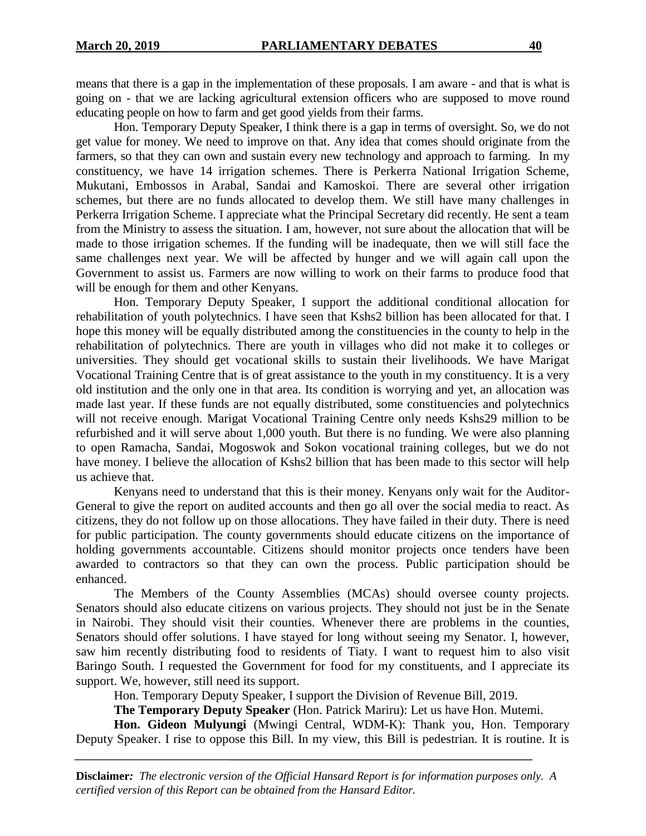means that there is a gap in the implementation of these proposals. I am aware - and that is what is going on - that we are lacking agricultural extension officers who are supposed to move round educating people on how to farm and get good yields from their farms.

Hon. Temporary Deputy Speaker, I think there is a gap in terms of oversight. So, we do not get value for money. We need to improve on that. Any idea that comes should originate from the farmers, so that they can own and sustain every new technology and approach to farming. In my constituency, we have 14 irrigation schemes. There is Perkerra National Irrigation Scheme, Mukutani, Embossos in Arabal, Sandai and Kamoskoi. There are several other irrigation schemes, but there are no funds allocated to develop them. We still have many challenges in Perkerra Irrigation Scheme. I appreciate what the Principal Secretary did recently. He sent a team from the Ministry to assess the situation. I am, however, not sure about the allocation that will be made to those irrigation schemes. If the funding will be inadequate, then we will still face the same challenges next year. We will be affected by hunger and we will again call upon the Government to assist us. Farmers are now willing to work on their farms to produce food that will be enough for them and other Kenyans.

Hon. Temporary Deputy Speaker, I support the additional conditional allocation for rehabilitation of youth polytechnics. I have seen that Kshs2 billion has been allocated for that. I hope this money will be equally distributed among the constituencies in the county to help in the rehabilitation of polytechnics. There are youth in villages who did not make it to colleges or universities. They should get vocational skills to sustain their livelihoods. We have Marigat Vocational Training Centre that is of great assistance to the youth in my constituency. It is a very old institution and the only one in that area. Its condition is worrying and yet, an allocation was made last year. If these funds are not equally distributed, some constituencies and polytechnics will not receive enough. Marigat Vocational Training Centre only needs Kshs29 million to be refurbished and it will serve about 1,000 youth. But there is no funding. We were also planning to open Ramacha, Sandai, Mogoswok and Sokon vocational training colleges, but we do not have money. I believe the allocation of Kshs2 billion that has been made to this sector will help us achieve that.

Kenyans need to understand that this is their money. Kenyans only wait for the Auditor-General to give the report on audited accounts and then go all over the social media to react. As citizens, they do not follow up on those allocations. They have failed in their duty. There is need for public participation. The county governments should educate citizens on the importance of holding governments accountable. Citizens should monitor projects once tenders have been awarded to contractors so that they can own the process. Public participation should be enhanced.

The Members of the County Assemblies (MCAs) should oversee county projects. Senators should also educate citizens on various projects. They should not just be in the Senate in Nairobi. They should visit their counties. Whenever there are problems in the counties, Senators should offer solutions. I have stayed for long without seeing my Senator. I, however, saw him recently distributing food to residents of Tiaty. I want to request him to also visit Baringo South. I requested the Government for food for my constituents, and I appreciate its support. We, however, still need its support.

Hon. Temporary Deputy Speaker, I support the Division of Revenue Bill, 2019.

**The Temporary Deputy Speaker** (Hon. Patrick Mariru): Let us have Hon. Mutemi.

**Hon. Gideon Mulyungi** (Mwingi Central, WDM-K): Thank you, Hon. Temporary Deputy Speaker. I rise to oppose this Bill. In my view, this Bill is pedestrian. It is routine. It is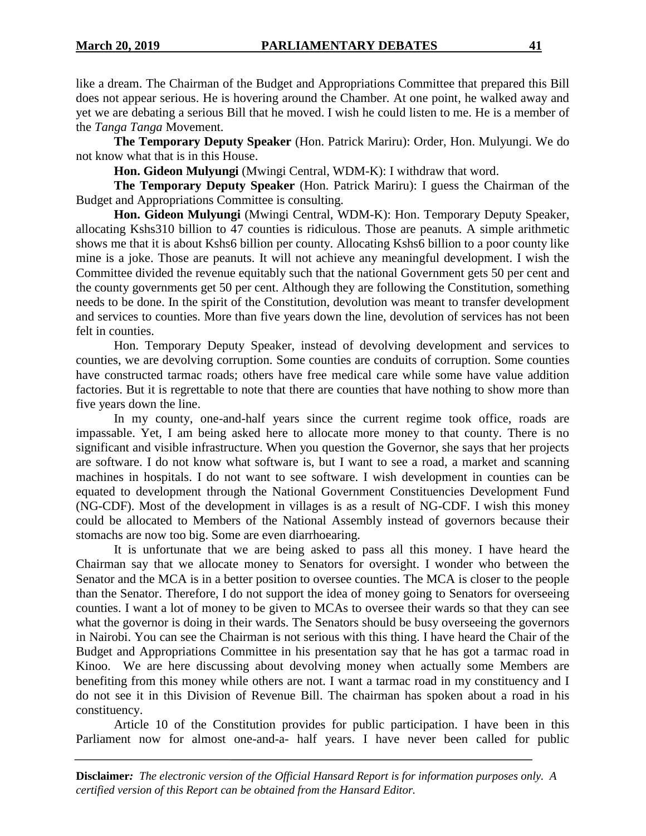like a dream. The Chairman of the Budget and Appropriations Committee that prepared this Bill does not appear serious. He is hovering around the Chamber. At one point, he walked away and yet we are debating a serious Bill that he moved. I wish he could listen to me. He is a member of the *Tanga Tanga* Movement.

**The Temporary Deputy Speaker** (Hon. Patrick Mariru): Order, Hon. Mulyungi. We do not know what that is in this House.

**Hon. Gideon Mulyungi** (Mwingi Central, WDM-K): I withdraw that word.

**The Temporary Deputy Speaker** (Hon. Patrick Mariru): I guess the Chairman of the Budget and Appropriations Committee is consulting.

**Hon. Gideon Mulyungi** (Mwingi Central, WDM-K): Hon. Temporary Deputy Speaker, allocating Kshs310 billion to 47 counties is ridiculous. Those are peanuts. A simple arithmetic shows me that it is about Kshs6 billion per county. Allocating Kshs6 billion to a poor county like mine is a joke. Those are peanuts. It will not achieve any meaningful development. I wish the Committee divided the revenue equitably such that the national Government gets 50 per cent and the county governments get 50 per cent. Although they are following the Constitution, something needs to be done. In the spirit of the Constitution, devolution was meant to transfer development and services to counties. More than five years down the line, devolution of services has not been felt in counties.

Hon. Temporary Deputy Speaker, instead of devolving development and services to counties, we are devolving corruption. Some counties are conduits of corruption. Some counties have constructed tarmac roads; others have free medical care while some have value addition factories. But it is regrettable to note that there are counties that have nothing to show more than five years down the line.

In my county, one-and-half years since the current regime took office, roads are impassable. Yet, I am being asked here to allocate more money to that county. There is no significant and visible infrastructure. When you question the Governor, she says that her projects are software. I do not know what software is, but I want to see a road, a market and scanning machines in hospitals. I do not want to see software. I wish development in counties can be equated to development through the National Government Constituencies Development Fund (NG-CDF). Most of the development in villages is as a result of NG-CDF. I wish this money could be allocated to Members of the National Assembly instead of governors because their stomachs are now too big. Some are even diarrhoearing.

It is unfortunate that we are being asked to pass all this money. I have heard the Chairman say that we allocate money to Senators for oversight. I wonder who between the Senator and the MCA is in a better position to oversee counties. The MCA is closer to the people than the Senator. Therefore, I do not support the idea of money going to Senators for overseeing counties. I want a lot of money to be given to MCAs to oversee their wards so that they can see what the governor is doing in their wards. The Senators should be busy overseeing the governors in Nairobi. You can see the Chairman is not serious with this thing. I have heard the Chair of the Budget and Appropriations Committee in his presentation say that he has got a tarmac road in Kinoo. We are here discussing about devolving money when actually some Members are benefiting from this money while others are not. I want a tarmac road in my constituency and I do not see it in this Division of Revenue Bill. The chairman has spoken about a road in his constituency.

Article 10 of the Constitution provides for public participation. I have been in this Parliament now for almost one-and-a- half years. I have never been called for public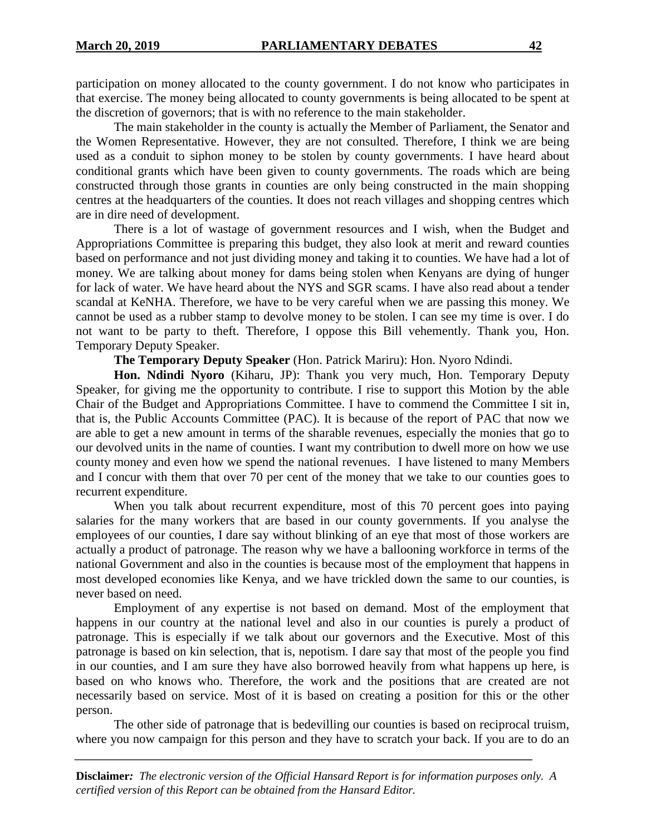participation on money allocated to the county government. I do not know who participates in that exercise. The money being allocated to county governments is being allocated to be spent at the discretion of governors; that is with no reference to the main stakeholder.

The main stakeholder in the county is actually the Member of Parliament, the Senator and the Women Representative. However, they are not consulted. Therefore, I think we are being used as a conduit to siphon money to be stolen by county governments. I have heard about conditional grants which have been given to county governments. The roads which are being constructed through those grants in counties are only being constructed in the main shopping centres at the headquarters of the counties. It does not reach villages and shopping centres which are in dire need of development.

There is a lot of wastage of government resources and I wish, when the Budget and Appropriations Committee is preparing this budget, they also look at merit and reward counties based on performance and not just dividing money and taking it to counties. We have had a lot of money. We are talking about money for dams being stolen when Kenyans are dying of hunger for lack of water. We have heard about the NYS and SGR scams. I have also read about a tender scandal at KeNHA. Therefore, we have to be very careful when we are passing this money. We cannot be used as a rubber stamp to devolve money to be stolen. I can see my time is over. I do not want to be party to theft. Therefore, I oppose this Bill vehemently. Thank you, Hon. Temporary Deputy Speaker.

**The Temporary Deputy Speaker** (Hon. Patrick Mariru): Hon. Nyoro Ndindi.

**Hon. Ndindi Nyoro** (Kiharu, JP): Thank you very much, Hon. Temporary Deputy Speaker, for giving me the opportunity to contribute. I rise to support this Motion by the able Chair of the Budget and Appropriations Committee. I have to commend the Committee I sit in, that is, the Public Accounts Committee (PAC). It is because of the report of PAC that now we are able to get a new amount in terms of the sharable revenues, especially the monies that go to our devolved units in the name of counties. I want my contribution to dwell more on how we use county money and even how we spend the national revenues. I have listened to many Members and I concur with them that over 70 per cent of the money that we take to our counties goes to recurrent expenditure.

When you talk about recurrent expenditure, most of this 70 percent goes into paying salaries for the many workers that are based in our county governments. If you analyse the employees of our counties, I dare say without blinking of an eye that most of those workers are actually a product of patronage. The reason why we have a ballooning workforce in terms of the national Government and also in the counties is because most of the employment that happens in most developed economies like Kenya, and we have trickled down the same to our counties, is never based on need.

Employment of any expertise is not based on demand. Most of the employment that happens in our country at the national level and also in our counties is purely a product of patronage. This is especially if we talk about our governors and the Executive. Most of this patronage is based on kin selection, that is, nepotism. I dare say that most of the people you find in our counties, and I am sure they have also borrowed heavily from what happens up here, is based on who knows who. Therefore, the work and the positions that are created are not necessarily based on service. Most of it is based on creating a position for this or the other person.

The other side of patronage that is bedevilling our counties is based on reciprocal truism, where you now campaign for this person and they have to scratch your back. If you are to do an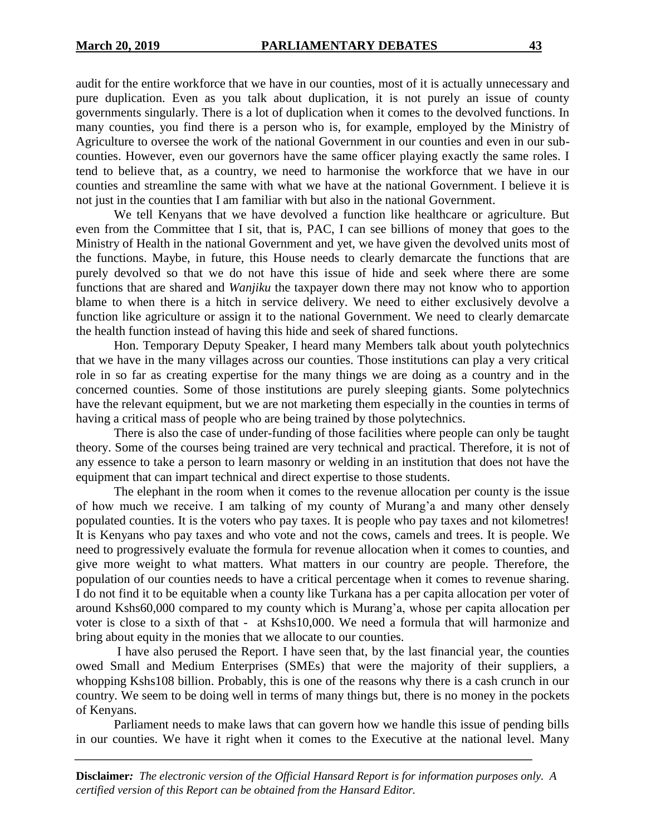audit for the entire workforce that we have in our counties, most of it is actually unnecessary and pure duplication. Even as you talk about duplication, it is not purely an issue of county governments singularly. There is a lot of duplication when it comes to the devolved functions. In many counties, you find there is a person who is, for example, employed by the Ministry of Agriculture to oversee the work of the national Government in our counties and even in our subcounties. However, even our governors have the same officer playing exactly the same roles. I tend to believe that, as a country, we need to harmonise the workforce that we have in our counties and streamline the same with what we have at the national Government. I believe it is not just in the counties that I am familiar with but also in the national Government.

We tell Kenyans that we have devolved a function like healthcare or agriculture. But even from the Committee that I sit, that is, PAC, I can see billions of money that goes to the Ministry of Health in the national Government and yet, we have given the devolved units most of the functions. Maybe, in future, this House needs to clearly demarcate the functions that are purely devolved so that we do not have this issue of hide and seek where there are some functions that are shared and *Wanjiku* the taxpayer down there may not know who to apportion blame to when there is a hitch in service delivery. We need to either exclusively devolve a function like agriculture or assign it to the national Government. We need to clearly demarcate the health function instead of having this hide and seek of shared functions.

Hon. Temporary Deputy Speaker, I heard many Members talk about youth polytechnics that we have in the many villages across our counties. Those institutions can play a very critical role in so far as creating expertise for the many things we are doing as a country and in the concerned counties. Some of those institutions are purely sleeping giants. Some polytechnics have the relevant equipment, but we are not marketing them especially in the counties in terms of having a critical mass of people who are being trained by those polytechnics.

There is also the case of under-funding of those facilities where people can only be taught theory. Some of the courses being trained are very technical and practical. Therefore, it is not of any essence to take a person to learn masonry or welding in an institution that does not have the equipment that can impart technical and direct expertise to those students.

The elephant in the room when it comes to the revenue allocation per county is the issue of how much we receive. I am talking of my county of Murang'a and many other densely populated counties. It is the voters who pay taxes. It is people who pay taxes and not kilometres! It is Kenyans who pay taxes and who vote and not the cows, camels and trees. It is people. We need to progressively evaluate the formula for revenue allocation when it comes to counties, and give more weight to what matters. What matters in our country are people. Therefore, the population of our counties needs to have a critical percentage when it comes to revenue sharing. I do not find it to be equitable when a county like Turkana has a per capita allocation per voter of around Kshs60,000 compared to my county which is Murang'a, whose per capita allocation per voter is close to a sixth of that - at Kshs10,000. We need a formula that will harmonize and bring about equity in the monies that we allocate to our counties.

I have also perused the Report. I have seen that, by the last financial year, the counties owed Small and Medium Enterprises (SMEs) that were the majority of their suppliers, a whopping Kshs108 billion. Probably, this is one of the reasons why there is a cash crunch in our country. We seem to be doing well in terms of many things but, there is no money in the pockets of Kenyans.

Parliament needs to make laws that can govern how we handle this issue of pending bills in our counties. We have it right when it comes to the Executive at the national level. Many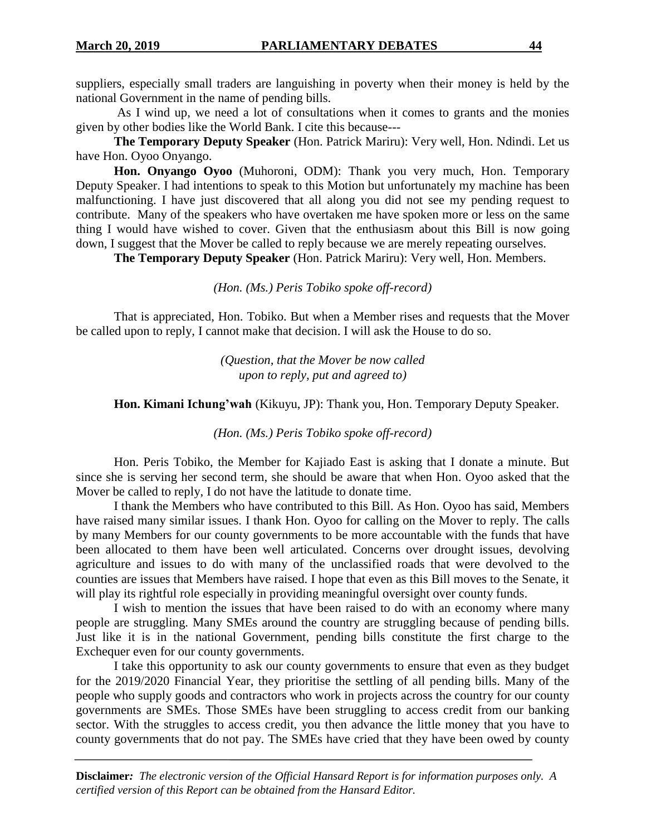suppliers, especially small traders are languishing in poverty when their money is held by the national Government in the name of pending bills.

As I wind up, we need a lot of consultations when it comes to grants and the monies given by other bodies like the World Bank. I cite this because---

**The Temporary Deputy Speaker** (Hon. Patrick Mariru): Very well, Hon. Ndindi. Let us have Hon. Oyoo Onyango.

**Hon. Onyango Oyoo** (Muhoroni, ODM): Thank you very much, Hon. Temporary Deputy Speaker. I had intentions to speak to this Motion but unfortunately my machine has been malfunctioning. I have just discovered that all along you did not see my pending request to contribute. Many of the speakers who have overtaken me have spoken more or less on the same thing I would have wished to cover. Given that the enthusiasm about this Bill is now going down, I suggest that the Mover be called to reply because we are merely repeating ourselves.

**The Temporary Deputy Speaker** (Hon. Patrick Mariru): Very well, Hon. Members.

*(Hon. (Ms.) Peris Tobiko spoke off-record)*

That is appreciated, Hon. Tobiko. But when a Member rises and requests that the Mover be called upon to reply, I cannot make that decision. I will ask the House to do so.

> *(Question, that the Mover be now called upon to reply, put and agreed to)*

**Hon. Kimani Ichung'wah** (Kikuyu, JP): Thank you, Hon. Temporary Deputy Speaker.

*(Hon. (Ms.) Peris Tobiko spoke off-record)*

Hon. Peris Tobiko, the Member for Kajiado East is asking that I donate a minute. But since she is serving her second term, she should be aware that when Hon. Oyoo asked that the Mover be called to reply, I do not have the latitude to donate time.

I thank the Members who have contributed to this Bill. As Hon. Oyoo has said, Members have raised many similar issues. I thank Hon. Oyoo for calling on the Mover to reply. The calls by many Members for our county governments to be more accountable with the funds that have been allocated to them have been well articulated. Concerns over drought issues, devolving agriculture and issues to do with many of the unclassified roads that were devolved to the counties are issues that Members have raised. I hope that even as this Bill moves to the Senate, it will play its rightful role especially in providing meaningful oversight over county funds.

I wish to mention the issues that have been raised to do with an economy where many people are struggling. Many SMEs around the country are struggling because of pending bills. Just like it is in the national Government, pending bills constitute the first charge to the Exchequer even for our county governments.

I take this opportunity to ask our county governments to ensure that even as they budget for the 2019/2020 Financial Year, they prioritise the settling of all pending bills. Many of the people who supply goods and contractors who work in projects across the country for our county governments are SMEs. Those SMEs have been struggling to access credit from our banking sector. With the struggles to access credit, you then advance the little money that you have to county governments that do not pay. The SMEs have cried that they have been owed by county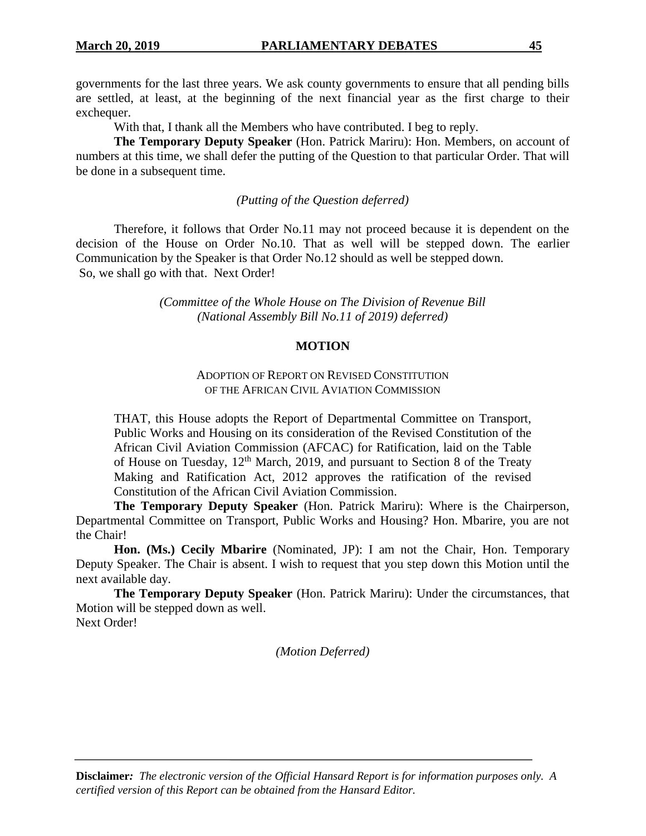governments for the last three years. We ask county governments to ensure that all pending bills are settled, at least, at the beginning of the next financial year as the first charge to their exchequer.

With that, I thank all the Members who have contributed. I beg to reply.

**The Temporary Deputy Speaker** (Hon. Patrick Mariru): Hon. Members, on account of numbers at this time, we shall defer the putting of the Question to that particular Order. That will be done in a subsequent time.

*(Putting of the Question deferred)*

Therefore, it follows that Order No.11 may not proceed because it is dependent on the decision of the House on Order No.10. That as well will be stepped down. The earlier Communication by the Speaker is that Order No.12 should as well be stepped down. So, we shall go with that. Next Order!

> *(Committee of the Whole House on The Division of Revenue Bill (National Assembly Bill No.11 of 2019) deferred)*

## **MOTION**

## ADOPTION OF REPORT ON REVISED CONSTITUTION OF THE AFRICAN CIVIL AVIATION COMMISSION

THAT, this House adopts the Report of Departmental Committee on Transport, Public Works and Housing on its consideration of the Revised Constitution of the African Civil Aviation Commission (AFCAC) for Ratification, laid on the Table of House on Tuesday,  $12<sup>th</sup>$  March, 2019, and pursuant to Section 8 of the Treaty Making and Ratification Act, 2012 approves the ratification of the revised Constitution of the African Civil Aviation Commission.

**The Temporary Deputy Speaker** (Hon. Patrick Mariru): Where is the Chairperson, Departmental Committee on Transport, Public Works and Housing? Hon. Mbarire, you are not the Chair!

**Hon. (Ms.) Cecily Mbarire** (Nominated, JP): I am not the Chair, Hon. Temporary Deputy Speaker. The Chair is absent. I wish to request that you step down this Motion until the next available day.

**The Temporary Deputy Speaker** (Hon. Patrick Mariru): Under the circumstances, that Motion will be stepped down as well. Next Order!

*(Motion Deferred)*